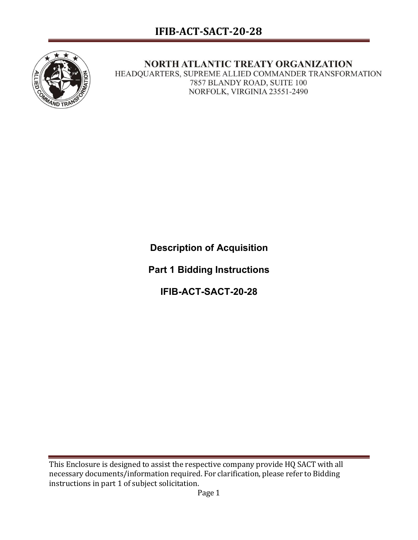

## NORTH ATLANTIC TREATY ORGANIZATION

HEADQUARTERS, SUPREME ALLIED COMMANDER TRANSFORMATION 7857 BLANDY ROAD, SUITE 100 NORFOLK, VIRGINIA 23551-2490

**Description of Acquisition**

**Part 1 Bidding Instructions**

**IFIB-ACT-SACT-20-28**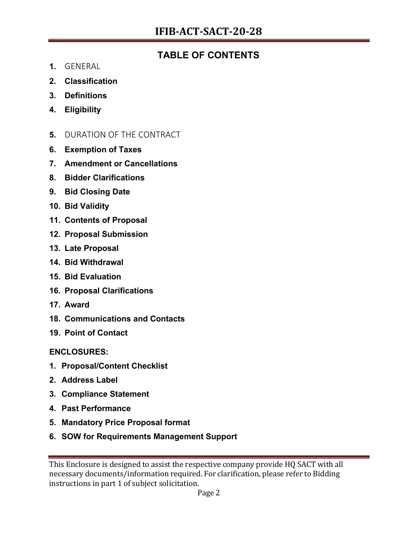## **TABLE OF CONTENTS**

- **1.** GENERAL
- **2. Classification**
- **3. Definitions**
- **4. Eligibility**
- **5.** DURATION OF THE CONTRACT
- **6. Exemption of Taxes**
- **7. Amendment or Cancellations**
- **8. Bidder Clarifications**
- **9. Bid Closing Date**
- **10. Bid Validity**
- **11. Contents of Proposal**
- **12. Proposal Submission**
- **13. Late Proposal**
- **14. Bid Withdrawal**
- **15. Bid Evaluation**
- **16. Proposal Clarifications**
- **17. Award**
- **18. Communications and Contacts**
- **19. Point of Contact**

**ENCLOSURES:**

- **1. Proposal/Content Checklist**
- **2. Address Label**
- **3. Compliance Statement**
- **4. Past Performance**
- **5. Mandatory Price Proposal format**
- **6. SOW for Requirements Management Support**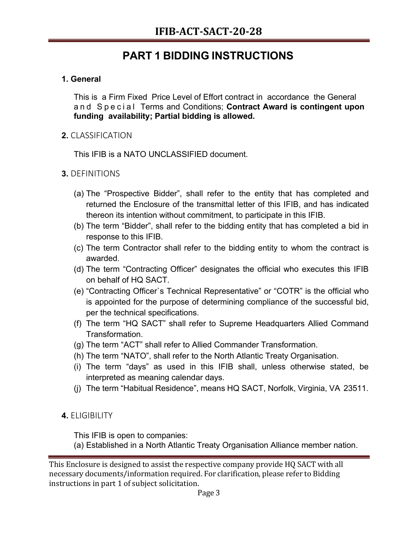# **PART 1 BIDDING INSTRUCTIONS**

## **1. General**

This is a Firm Fixed Price Level of Effort contract in accordance the General and Special Terms and Conditions; **Contract Award is contingent upon funding availability; Partial bidding is allowed.**

## **2.** CLASSIFICATION

This IFIB is a NATO UNCLASSIFIED document.

## **3.** DEFINITIONS

- (a) The "Prospective Bidder", shall refer to the entity that has completed and returned the Enclosure of the transmittal letter of this IFIB, and has indicated thereon its intention without commitment, to participate in this IFIB.
- (b) The term "Bidder", shall refer to the bidding entity that has completed a bid in response to this IFIB.
- (c) The term Contractor shall refer to the bidding entity to whom the contract is awarded.
- (d) The term "Contracting Officer" designates the official who executes this IFIB on behalf of HQ SACT.
- (e) "Contracting Officer`s Technical Representative" or "COTR" is the official who is appointed for the purpose of determining compliance of the successful bid, per the technical specifications.
- (f) The term "HQ SACT" shall refer to Supreme Headquarters Allied Command Transformation.
- (g) The term "ACT" shall refer to Allied Commander Transformation.
- (h) The term "NATO", shall refer to the North Atlantic Treaty Organisation.
- (i) The term "days" as used in this IFIB shall, unless otherwise stated, be interpreted as meaning calendar days.
- (j) The term "Habitual Residence", means HQ SACT, Norfolk, Virginia, VA 23511.

## **4.** ELIGIBILITY

This IFIB is open to companies:

(a) Established in a North Atlantic Treaty Organisation Alliance member nation.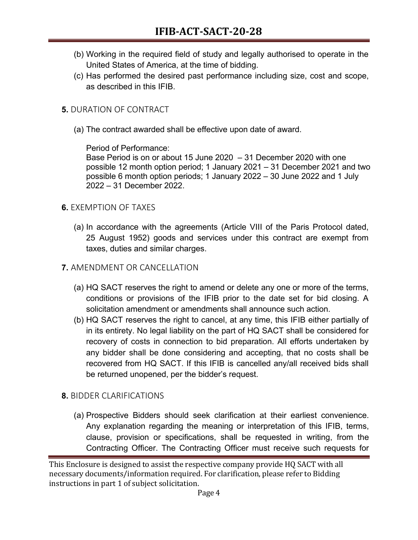- (b) Working in the required field of study and legally authorised to operate in the United States of America, at the time of bidding.
- (c) Has performed the desired past performance including size, cost and scope, as described in this IFIB.
- **5.** DURATION OF CONTRACT
	- (a) The contract awarded shall be effective upon date of award.

Period of Performance:

Base Period is on or about 15 June 2020 – 31 December 2020 with one possible 12 month option period; 1 January 2021 – 31 December 2021 and two possible 6 month option periods; 1 January 2022 – 30 June 2022 and 1 July 2022 – 31 December 2022.

## **6.** EXEMPTION OF TAXES

- (a) In accordance with the agreements (Article VIII of the Paris Protocol dated, 25 August 1952) goods and services under this contract are exempt from taxes, duties and similar charges.
- **7.** AMENDMENT OR CANCELLATION
	- (a) HQ SACT reserves the right to amend or delete any one or more of the terms, conditions or provisions of the IFIB prior to the date set for bid closing. A solicitation amendment or amendments shall announce such action.
	- (b) HQ SACT reserves the right to cancel, at any time, this IFIB either partially of in its entirety. No legal liability on the part of HQ SACT shall be considered for recovery of costs in connection to bid preparation. All efforts undertaken by any bidder shall be done considering and accepting, that no costs shall be recovered from HQ SACT. If this IFIB is cancelled any/all received bids shall be returned unopened, per the bidder's request.

## **8.** BIDDER CLARIFICATIONS

(a) Prospective Bidders should seek clarification at their earliest convenience. Any explanation regarding the meaning or interpretation of this IFIB, terms, clause, provision or specifications, shall be requested in writing, from the Contracting Officer. The Contracting Officer must receive such requests for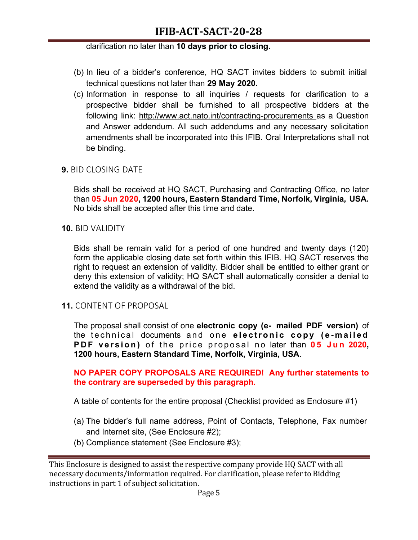## **IFIB-ACT-SACT-20-28**

#### clarification no later than **10 days prior to closing.**

- (b) In lieu of a bidder's conference, HQ SACT invites bidders to submit initial technical questions not later than **29 May 2020.**
- (c) Information in response to all inquiries / requests for clarification to a prospective bidder shall be furnished to all prospective bidders at the following link: http://www.act.nato.int/contracting-procurements as a Question and Answer addendum. All such addendums and any necessary solicitation amendments shall be incorporated into this IFIB. Oral Interpretations shall not be binding.

### **9.** BID CLOSING DATE

Bids shall be received at HQ SACT, Purchasing and Contracting Office, no later than **05 Jun 2020, 1200 hours, Eastern Standard Time, Norfolk, Virginia, USA.** No bids shall be accepted after this time and date.

#### **10.** BID VALIDITY

Bids shall be remain valid for a period of one hundred and twenty days (120) form the applicable closing date set forth within this IFIB. HQ SACT reserves the right to request an extension of validity. Bidder shall be entitled to either grant or deny this extension of validity; HQ SACT shall automatically consider a denial to extend the validity as a withdrawal of the bid.

#### **11.** CONTENT OF PROPOSAL

The proposal shall consist of one **electronic copy (e- mailed PDF version)** of the technical documents and one **electronic copy (e - mailed PDF version)** of the price proposal no later than 05 Jun 2020, **1200 hours, Eastern Standard Time, Norfolk, Virginia, USA**.

#### **NO PAPER COPY PROPOSALS ARE REQUIRED! Any further statements to the contrary are superseded by this paragraph.**

A table of contents for the entire proposal (Checklist provided as Enclosure #1)

- (a) The bidder's full name address, Point of Contacts, Telephone, Fax number and Internet site, (See Enclosure #2);
- (b) Compliance statement (See Enclosure #3);

This Enclosure is designed to assist the respective company provide HQ SACT with all necessary documents/information required. For clarification, please refer to Bidding instructions in part 1 of subject solicitation.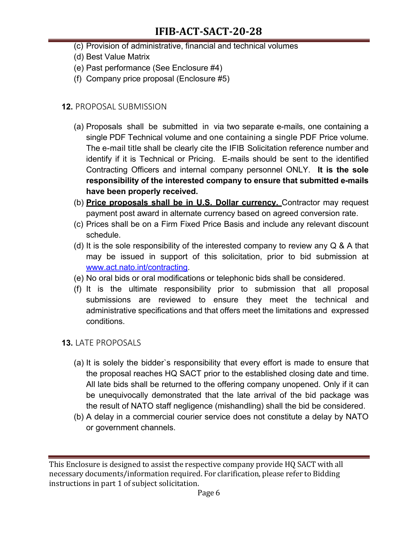- (c) Provision of administrative, financial and technical volumes
- (d) Best Value Matrix
- (e) Past performance (See Enclosure #4)
- (f) Company price proposal (Enclosure #5)

## **12.** PROPOSAL SUBMISSION

- (a) Proposals shall be submitted in via two separate e-mails, one containing a single PDF Technical volume and one containing a single PDF Price volume. The e-mail title shall be clearly cite the IFIB Solicitation reference number and identify if it is Technical or Pricing. E-mails should be sent to the identified Contracting Officers and internal company personnel ONLY. **It is the sole responsibility of the interested company to ensure that submitted e-mails have been properly received.**
- (b) **Price proposals shall be in U.S. Dollar currency.** Contractor may request payment post award in alternate currency based on agreed conversion rate.
- (c) Prices shall be on a Firm Fixed Price Basis and include any relevant discount schedule.
- (d) It is the sole responsibility of the interested company to review any  $Q \& A$  that may be issued in support of this solicitation, prior to bid submission at www.act.nato.int/contracting.
- (e) No oral bids or oral modifications or telephonic bids shall be considered.
- (f) It is the ultimate responsibility prior to submission that all proposal submissions are reviewed to ensure they meet the technical and administrative specifications and that offers meet the limitations and expressed conditions.

## **13.** LATE PROPOSALS

- (a) It is solely the bidder`s responsibility that every effort is made to ensure that the proposal reaches HQ SACT prior to the established closing date and time. All late bids shall be returned to the offering company unopened. Only if it can be unequivocally demonstrated that the late arrival of the bid package was the result of NATO staff negligence (mishandling) shall the bid be considered.
- (b) A delay in a commercial courier service does not constitute a delay by NATO or government channels.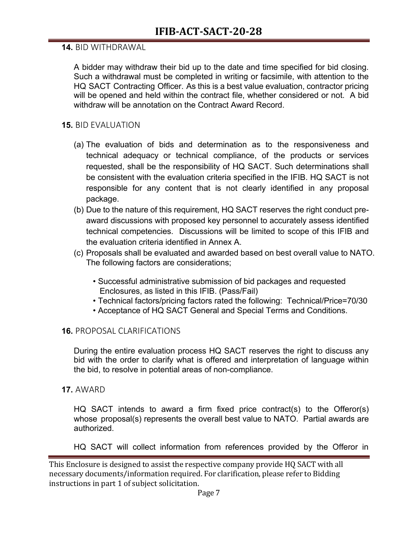### **14.** BID WITHDRAWAL

A bidder may withdraw their bid up to the date and time specified for bid closing. Such a withdrawal must be completed in writing or facsimile, with attention to the HQ SACT Contracting Officer. As this is a best value evaluation, contractor pricing will be opened and held within the contract file, whether considered or not. A bid withdraw will be annotation on the Contract Award Record.

### **15.** BID EVALUATION

- (a) The evaluation of bids and determination as to the responsiveness and technical adequacy or technical compliance, of the products or services requested, shall be the responsibility of HQ SACT. Such determinations shall be consistent with the evaluation criteria specified in the IFIB. HQ SACT is not responsible for any content that is not clearly identified in any proposal package.
- (b) Due to the nature of this requirement, HQ SACT reserves the right conduct preaward discussions with proposed key personnel to accurately assess identified technical competencies. Discussions will be limited to scope of this IFIB and the evaluation criteria identified in Annex A.
- (c) Proposals shall be evaluated and awarded based on best overall value to NATO. The following factors are considerations;
	- Successful administrative submission of bid packages and requested Enclosures, as listed in this IFIB. (Pass/Fail)
	- Technical factors/pricing factors rated the following: Technical/Price=70/30
	- Acceptance of HQ SACT General and Special Terms and Conditions.

#### **16.** PROPOSAL CLARIFICATIONS

During the entire evaluation process HQ SACT reserves the right to discuss any bid with the order to clarify what is offered and interpretation of language within the bid, to resolve in potential areas of non-compliance.

#### **17.** AWARD

HQ SACT intends to award a firm fixed price contract(s) to the Offeror(s) whose proposal(s) represents the overall best value to NATO. Partial awards are authorized.

HQ SACT will collect information from references provided by the Offeror in

This Enclosure is designed to assist the respective company provide HQ SACT with all necessary documents/information required. For clarification, please refer to Bidding instructions in part 1 of subject solicitation.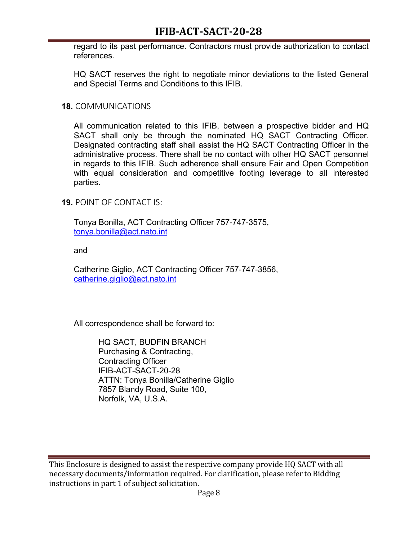## **IFIB-ACT-SACT-20-28**

regard to its past performance. Contractors must provide authorization to contact references.

HQ SACT reserves the right to negotiate minor deviations to the listed General and Special Terms and Conditions to this IFIB.

#### **18.** COMMUNICATIONS

All communication related to this IFIB, between a prospective bidder and HQ SACT shall only be through the nominated HQ SACT Contracting Officer. Designated contracting staff shall assist the HQ SACT Contracting Officer in the administrative process. There shall be no contact with other HQ SACT personnel in regards to this IFIB. Such adherence shall ensure Fair and Open Competition with equal consideration and competitive footing leverage to all interested parties.

**19.** POINT OF CONTACT IS:

Tonya Bonilla, ACT Contracting Officer 757-747-3575, tonya.bonilla@act.nato.int

and

Catherine Giglio, ACT Contracting Officer 757-747-3856, catherine.giglio@act.nato.int

All correspondence shall be forward to:

HQ SACT, BUDFIN BRANCH Purchasing & Contracting, Contracting Officer IFIB-ACT-SACT-20-28 ATTN: Tonya Bonilla/Catherine Giglio 7857 Blandy Road, Suite 100, Norfolk, VA, U.S.A.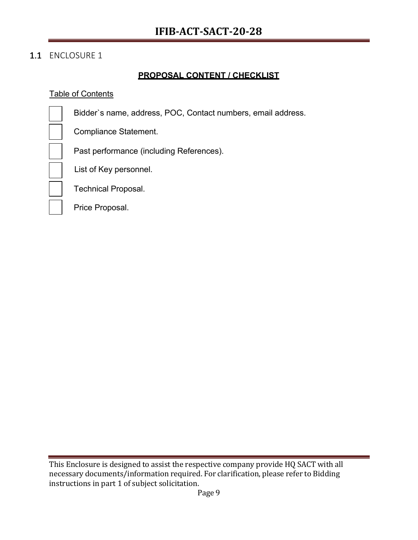## 1.1 ENCLOSURE 1

## **PROPOSAL CONTENT / CHECKLIST**

#### Table of Contents

Bidder`s name, address, POC, Contact numbers, email address.

Compliance Statement.

Past performance (including References).

List of Key personnel.

Technical Proposal.

Price Proposal.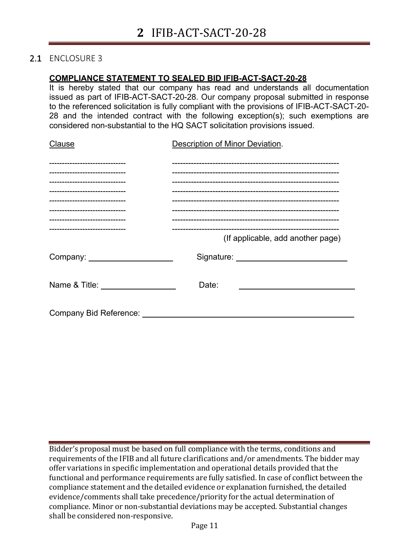### 2.1 ENCLOSURE 3

#### **COMPLIANCE STATEMENT TO SEALED BID IFIB-ACT-SACT-20-28**

It is hereby stated that our company has read and understands all documentation issued as part of IFIB-ACT-SACT-20-28. Our company proposal submitted in response to the referenced solicitation is fully compliant with the provisions of IFIB-ACT-SACT-20- 28 and the intended contract with the following exception(s); such exemptions are considered non-substantial to the HQ SACT solicitation provisions issued.

| Clause                                                           | Description of Minor Deviation.     |  |  |
|------------------------------------------------------------------|-------------------------------------|--|--|
| -------------------------------                                  |                                     |  |  |
| -----------------------------                                    |                                     |  |  |
| ----------------------------                                     |                                     |  |  |
| -----------------------------<br>------------------------------- |                                     |  |  |
| -------------------------------                                  |                                     |  |  |
| -------------------------------                                  |                                     |  |  |
| -------------------------------                                  |                                     |  |  |
|                                                                  | (If applicable, add another page)   |  |  |
|                                                                  | Signature: <u>www.community.com</u> |  |  |
| Name & Title: <u>_______________________</u>                     | Date:                               |  |  |
| Company Bid Reference: _________                                 |                                     |  |  |

Bidder's proposal must be based on full compliance with the terms, conditions and requirements of the IFIB and all future clarifications and/or amendments. The bidder may offer variations in specific implementation and operational details provided that the functional and performance requirements are fully satisfied. In case of conflict between the compliance statement and the detailed evidence or explanation furnished, the detailed evidence/comments shall take precedence/priority for the actual determination of compliance. Minor or non-substantial deviations may be accepted. Substantial changes shall be considered non-responsive.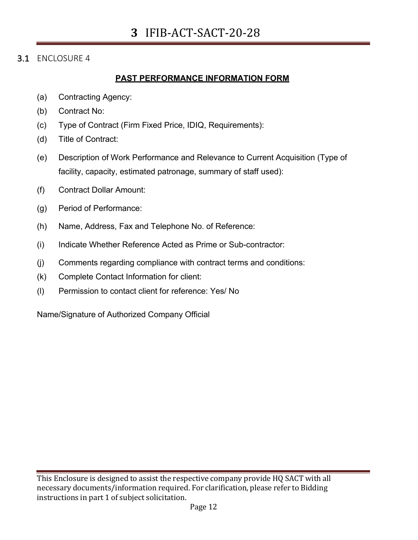### 3.1 ENCLOSURE 4

#### **PAST PERFORMANCE INFORMATION FORM**

- (a) Contracting Agency:
- (b) Contract No:
- (c) Type of Contract (Firm Fixed Price, IDIQ, Requirements):
- (d) Title of Contract:
- (e) Description of Work Performance and Relevance to Current Acquisition (Type of facility, capacity, estimated patronage, summary of staff used):
- (f) Contract Dollar Amount:
- (g) Period of Performance:
- (h) Name, Address, Fax and Telephone No. of Reference:
- (i) Indicate Whether Reference Acted as Prime or Sub-contractor:
- (j) Comments regarding compliance with contract terms and conditions:
- (k) Complete Contact Information for client:
- (l) Permission to contact client for reference: Yes/ No

Name/Signature of Authorized Company Official

This Enclosure is designed to assist the respective company provide HQ SACT with all necessary documents/information required. For clarification, please refer to Bidding instructions in part 1 of subject solicitation.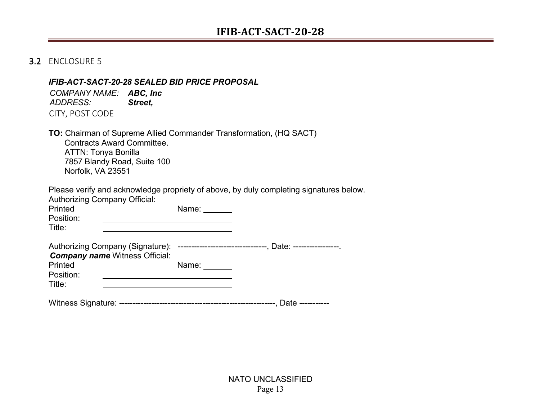### 3.2 ENCLOSURE 5

#### *IFIB-ACT-SACT-20-28 SEALED BID PRICE PROPOSAL*

*COMPANY NAME: ABC, Inc ADDRESS: Street,* CITY, POST CODE

**TO:** Chairman of Supreme Allied Commander Transformation, (HQ SACT) Contracts Award Committee. ATTN: Tonya Bonilla 7857 Blandy Road, Suite 100 Norfolk, VA 23551

Please verify and acknowledge propriety of above, by duly completing signatures below.

| Authorizing Company Official:<br>Printed<br>Position:<br>Title: | Name: $\_\_\_\_\_\_\_\_\_\$                                                                 |  |
|-----------------------------------------------------------------|---------------------------------------------------------------------------------------------|--|
| <b>Company name Witness Official:</b>                           | Authorizing Company (Signature): ---------------------------------, Date: ----------------- |  |
| Printed                                                         | Name:                                                                                       |  |
| Position:                                                       |                                                                                             |  |
| Title:                                                          |                                                                                             |  |
|                                                                 |                                                                                             |  |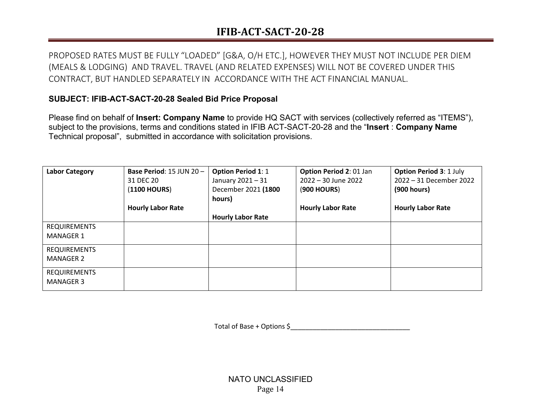## **IFIB-ACT-SACT-20-28**

PROPOSED RATES MUST BE FULLY "LOADED" [G&A, O/H ETC.], HOWEVER THEY MUST NOT INCLUDE PER DIEM (MEALS & LODGING) AND TRAVEL. TRAVEL (AND RELATED EXPENSES) WILL NOT BE COVERED UNDER THIS CONTRACT, BUT HANDLED SEPARATELY IN ACCORDANCE WITH THE ACT FINANCIAL MANUAL.

## **SUBJECT: IFIB-ACT-SACT-20-28 Sealed Bid Price Proposal**

Please find on behalf of **Insert: Company Name** to provide HQ SACT with services (collectively referred as "ITEMS"), subject to the provisions, terms and conditions stated in IFIB ACT-SACT-20-28 and the "**Insert** : **Company Name** Technical proposal", submitted in accordance with solicitation provisions.

| <b>Labor Category</b>                   | Base Period: 15 JUN 20 -<br>31 DEC 20<br>(1100 HOURS) | <b>Option Period 1: 1</b><br>January 2021 - 31<br>December 2021 (1800<br>hours) | <b>Option Period 2: 01 Jan</b><br>$2022 - 30$ June 2022<br><b>(900 HOURS)</b> | <b>Option Period 3: 1 July</b><br>2022 - 31 December 2022<br>(900 hours) |
|-----------------------------------------|-------------------------------------------------------|---------------------------------------------------------------------------------|-------------------------------------------------------------------------------|--------------------------------------------------------------------------|
|                                         | <b>Hourly Labor Rate</b>                              | <b>Hourly Labor Rate</b>                                                        | <b>Hourly Labor Rate</b>                                                      | <b>Hourly Labor Rate</b>                                                 |
| <b>REQUIREMENTS</b><br><b>MANAGER 1</b> |                                                       |                                                                                 |                                                                               |                                                                          |
| <b>REQUIREMENTS</b><br><b>MANAGER 2</b> |                                                       |                                                                                 |                                                                               |                                                                          |
| <b>REQUIREMENTS</b><br><b>MANAGER 3</b> |                                                       |                                                                                 |                                                                               |                                                                          |

Total of Base + Options \$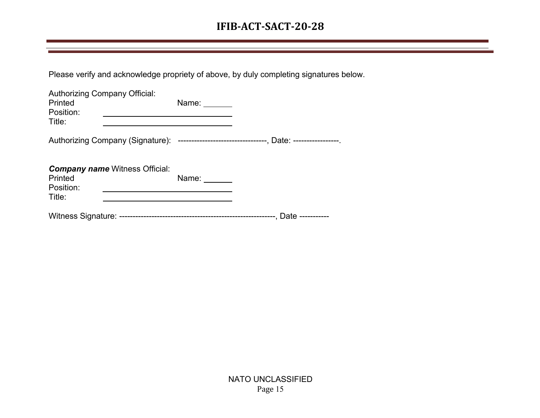## **IFIB-ACT-SACT-20-28**

Please verify and acknowledge propriety of above, by duly completing signatures below.

| Authorizing Company Official:<br>Printed<br>Position:                                        | Name: ______          |  |
|----------------------------------------------------------------------------------------------|-----------------------|--|
| Title:                                                                                       |                       |  |
| Authorizing Company (Signature): ---------------------------------, Date: -----------------. |                       |  |
| <b>Company name Witness Official:</b><br>Printed<br>Position:                                | Name: $\frac{\ }{\ }$ |  |
| Title:                                                                                       |                       |  |
|                                                                                              |                       |  |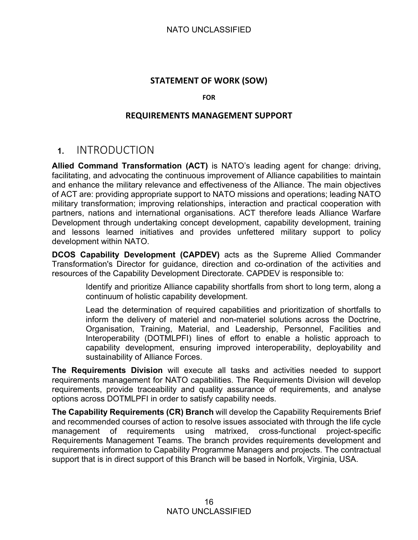## **STATEMENT OF WORK (SOW)**

#### **FOR**

### **REQUIREMENTS MANAGEMENT SUPPORT**

## **1.** INTRODUCTION

**Allied Command Transformation (ACT)** is NATO's leading agent for change: driving, facilitating, and advocating the continuous improvement of Alliance capabilities to maintain and enhance the military relevance and effectiveness of the Alliance. The main objectives of ACT are: providing appropriate support to NATO missions and operations; leading NATO military transformation; improving relationships, interaction and practical cooperation with partners, nations and international organisations. ACT therefore leads Alliance Warfare Development through undertaking concept development, capability development, training and lessons learned initiatives and provides unfettered military support to policy development within NATO.

**DCOS Capability Development (CAPDEV)** acts as the Supreme Allied Commander Transformation's Director for guidance, direction and co-ordination of the activities and resources of the Capability Development Directorate. CAPDEV is responsible to:

> Identify and prioritize Alliance capability shortfalls from short to long term, along a continuum of holistic capability development.

> Lead the determination of required capabilities and prioritization of shortfalls to inform the delivery of materiel and non-materiel solutions across the Doctrine, Organisation, Training, Material, and Leadership, Personnel, Facilities and Interoperability (DOTMLPFI) lines of effort to enable a holistic approach to capability development, ensuring improved interoperability, deployability and sustainability of Alliance Forces.

**The Requirements Division** will execute all tasks and activities needed to support requirements management for NATO capabilities. The Requirements Division will develop requirements, provide traceability and quality assurance of requirements, and analyse options across DOTMLPFI in order to satisfy capability needs.

**The Capability Requirements (CR) Branch** will develop the Capability Requirements Brief and recommended courses of action to resolve issues associated with through the life cycle management of requirements using matrixed, cross-functional project-specific Requirements Management Teams. The branch provides requirements development and requirements information to Capability Programme Managers and projects. The contractual support that is in direct support of this Branch will be based in Norfolk, Virginia, USA.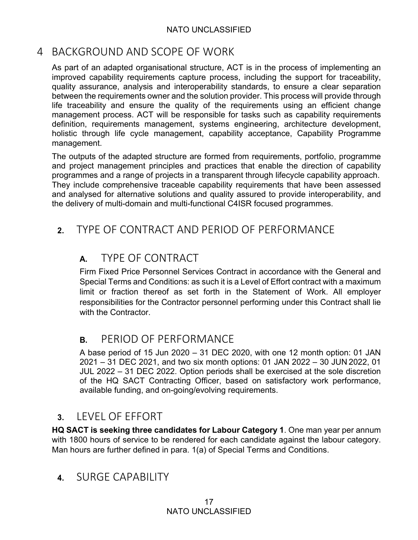## 4 BACKGROUND AND SCOPE OF WORK

As part of an adapted organisational structure, ACT is in the process of implementing an improved capability requirements capture process, including the support for traceability, quality assurance, analysis and interoperability standards, to ensure a clear separation between the requirements owner and the solution provider. This process will provide through life traceability and ensure the quality of the requirements using an efficient change management process. ACT will be responsible for tasks such as capability requirements definition, requirements management, systems engineering, architecture development, holistic through life cycle management, capability acceptance, Capability Programme management.

The outputs of the adapted structure are formed from requirements, portfolio, programme and project management principles and practices that enable the direction of capability programmes and a range of projects in a transparent through lifecycle capability approach. They include comprehensive traceable capability requirements that have been assessed and analysed for alternative solutions and quality assured to provide interoperability, and the delivery of multi-domain and multi-functional C4ISR focused programmes.

# **2.** TYPE OF CONTRACT AND PERIOD OF PERFORMANCE

# **A.** TYPE OF CONTRACT

Firm Fixed Price Personnel Services Contract in accordance with the General and Special Terms and Conditions: as such it is a Level of Effort contract with a maximum limit or fraction thereof as set forth in the Statement of Work. All employer responsibilities for the Contractor personnel performing under this Contract shall lie with the Contractor.

## **B.** PERIOD OF PERFORMANCE

A base period of 15 Jun 2020 – 31 DEC 2020, with one 12 month option: 01 JAN 2021 – 31 DEC 2021, and two six month options: 01 JAN 2022 – 30 JUN 2022, 01 JUL 2022 – 31 DEC 2022. Option periods shall be exercised at the sole discretion of the HQ SACT Contracting Officer, based on satisfactory work performance, available funding, and on-going/evolving requirements.

## **3.** LEVEL OF EFFORT

**HQ SACT is seeking three candidates for Labour Category 1**. One man year per annum with 1800 hours of service to be rendered for each candidate against the labour category. Man hours are further defined in para. 1(a) of Special Terms and Conditions.

## **4.** SURGE CAPABILITY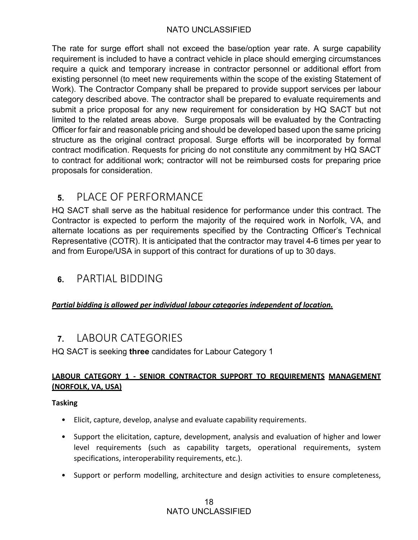The rate for surge effort shall not exceed the base/option year rate. A surge capability requirement is included to have a contract vehicle in place should emerging circumstances require a quick and temporary increase in contractor personnel or additional effort from existing personnel (to meet new requirements within the scope of the existing Statement of Work). The Contractor Company shall be prepared to provide support services per labour category described above. The contractor shall be prepared to evaluate requirements and submit a price proposal for any new requirement for consideration by HQ SACT but not limited to the related areas above. Surge proposals will be evaluated by the Contracting Officer for fair and reasonable pricing and should be developed based upon the same pricing structure as the original contract proposal. Surge efforts will be incorporated by formal contract modification. Requests for pricing do not constitute any commitment by HQ SACT to contract for additional work; contractor will not be reimbursed costs for preparing price proposals for consideration.

## **5.** PLACE OF PERFORMANCE

HQ SACT shall serve as the habitual residence for performance under this contract. The Contractor is expected to perform the majority of the required work in Norfolk, VA, and alternate locations as per requirements specified by the Contracting Officer's Technical Representative (COTR). It is anticipated that the contractor may travel 4-6 times per year to and from Europe/USA in support of this contract for durations of up to 30 days.

## **6.** PARTIAL BIDDING

## *Partial bidding is allowed per individual labour categories independent of location.*

## **7.** LABOUR CATEGORIES

HQ SACT is seeking **three** candidates for Labour Category 1

## **LABOUR CATEGORY 1 - SENIOR CONTRACTOR SUPPORT TO REQUIREMENTS MANAGEMENT (NORFOLK, VA, USA)**

#### **Tasking**

- Elicit, capture, develop, analyse and evaluate capability requirements.
- Support the elicitation, capture, development, analysis and evaluation of higher and lower level requirements (such as capability targets, operational requirements, system specifications, interoperability requirements, etc.).
- Support or perform modelling, architecture and design activities to ensure completeness,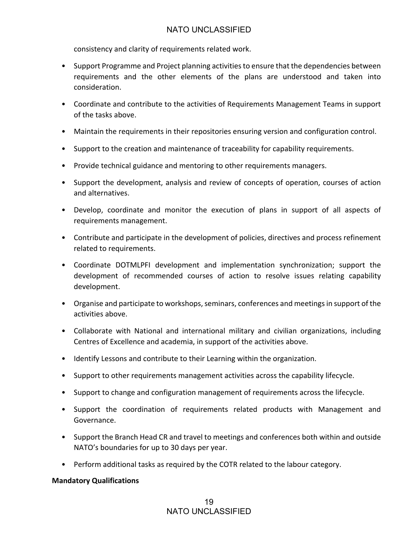consistency and clarity of requirements related work.

- Support Programme and Project planning activities to ensure that the dependencies between requirements and the other elements of the plans are understood and taken into consideration.
- Coordinate and contribute to the activities of Requirements Management Teams in support of the tasks above.
- Maintain the requirements in their repositories ensuring version and configuration control.
- Support to the creation and maintenance of traceability for capability requirements.
- Provide technical guidance and mentoring to other requirements managers.
- Support the development, analysis and review of concepts of operation, courses of action and alternatives.
- Develop, coordinate and monitor the execution of plans in support of all aspects of requirements management.
- Contribute and participate in the development of policies, directives and process refinement related to requirements.
- Coordinate DOTMLPFI development and implementation synchronization; support the development of recommended courses of action to resolve issues relating capability development.
- Organise and participate to workshops, seminars, conferences and meetings in support of the activities above.
- Collaborate with National and international military and civilian organizations, including Centres of Excellence and academia, in support of the activities above.
- Identify Lessons and contribute to their Learning within the organization.
- Support to other requirements management activities across the capability lifecycle.
- Support to change and configuration management of requirements across the lifecycle.
- Support the coordination of requirements related products with Management and Governance.
- Support the Branch Head CR and travel to meetings and conferences both within and outside NATO's boundaries for up to 30 days per year.
- Perform additional tasks as required by the COTR related to the labour category.

#### **Mandatory Qualifications**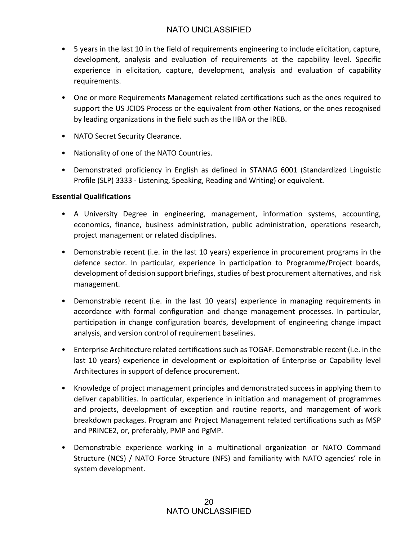- 5 years in the last 10 in the field of requirements engineering to include elicitation, capture, development, analysis and evaluation of requirements at the capability level. Specific experience in elicitation, capture, development, analysis and evaluation of capability requirements.
- One or more Requirements Management related certifications such as the ones required to support the US JCIDS Process or the equivalent from other Nations, or the ones recognised by leading organizations in the field such as the IIBA or the IREB.
- NATO Secret Security Clearance.
- Nationality of one of the NATO Countries.
- Demonstrated proficiency in English as defined in STANAG 6001 (Standardized Linguistic Profile (SLP) 3333 - Listening, Speaking, Reading and Writing) or equivalent.

#### **Essential Qualifications**

- A University Degree in engineering, management, information systems, accounting, economics, finance, business administration, public administration, operations research, project management or related disciplines.
- Demonstrable recent (i.e. in the last 10 years) experience in procurement programs in the defence sector. In particular, experience in participation to Programme/Project boards, development of decision support briefings, studies of best procurement alternatives, and risk management.
- Demonstrable recent (i.e. in the last 10 years) experience in managing requirements in accordance with formal configuration and change management processes. In particular, participation in change configuration boards, development of engineering change impact analysis, and version control of requirement baselines.
- Enterprise Architecture related certifications such as TOGAF. Demonstrable recent (i.e. in the last 10 years) experience in development or exploitation of Enterprise or Capability level Architectures in support of defence procurement.
- Knowledge of project management principles and demonstrated success in applying them to deliver capabilities. In particular, experience in initiation and management of programmes and projects, development of exception and routine reports, and management of work breakdown packages. Program and Project Management related certifications such as MSP and PRINCE2, or, preferably, PMP and PgMP.
- Demonstrable experience working in a multinational organization or NATO Command Structure (NCS) / NATO Force Structure (NFS) and familiarity with NATO agencies' role in system development.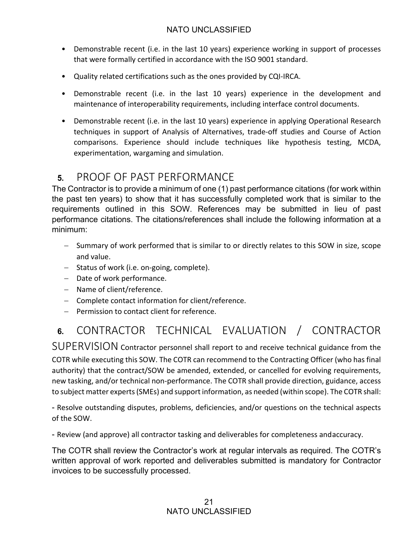- Demonstrable recent (i.e. in the last 10 years) experience working in support of processes that were formally certified in accordance with the ISO 9001 standard.
- Quality related certifications such as the ones provided by CQI-IRCA.
- Demonstrable recent (i.e. in the last 10 years) experience in the development and maintenance of interoperability requirements, including interface control documents.
- Demonstrable recent (i.e. in the last 10 years) experience in applying Operational Research techniques in support of Analysis of Alternatives, trade-off studies and Course of Action comparisons. Experience should include techniques like hypothesis testing, MCDA, experimentation, wargaming and simulation.

# **5.** PROOF OF PAST PERFORMANCE

The Contractor is to provide a minimum of one (1) past performance citations (for work within the past ten years) to show that it has successfully completed work that is similar to the requirements outlined in this SOW. References may be submitted in lieu of past performance citations. The citations/references shall include the following information at a minimum:

- Summary of work performed that is similar to or directly relates to this SOW in size, scope and value.
- Status of work (i.e. on-going, complete).
- Date of work performance.
- Name of client/reference.
- Complete contact information for client/reference.
- Permission to contact client for reference.

# **6.** CONTRACTOR TECHNICAL EVALUATION / CONTRACTOR

SUPERVISION Contractor personnel shall report to and receive technical guidance from the COTR while executing this SOW. The COTR can recommend to the Contracting Officer (who has final authority) that the contract/SOW be amended, extended, or cancelled for evolving requirements, new tasking, and/or technical non-performance. The COTR shall provide direction, guidance, access to subject matter experts (SMEs) and support information, as needed (within scope). The COTR shall:

- Resolve outstanding disputes, problems, deficiencies, and/or questions on the technical aspects of the SOW.

- Review (and approve) all contractor tasking and deliverables for completeness andaccuracy.

The COTR shall review the Contractor's work at regular intervals as required. The COTR's written approval of work reported and deliverables submitted is mandatory for Contractor invoices to be successfully processed.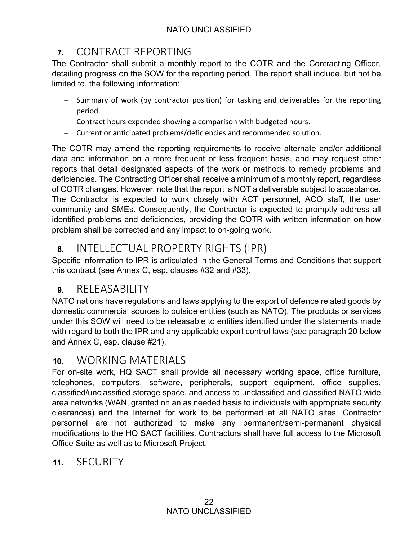# **7.** CONTRACT REPORTING

The Contractor shall submit a monthly report to the COTR and the Contracting Officer, detailing progress on the SOW for the reporting period. The report shall include, but not be limited to, the following information:

- Summary of work (by contractor position) for tasking and deliverables for the reporting period.
- Contract hours expended showing a comparison with budgeted hours.
- Current or anticipated problems/deficiencies and recommended solution.

The COTR may amend the reporting requirements to receive alternate and/or additional data and information on a more frequent or less frequent basis, and may request other reports that detail designated aspects of the work or methods to remedy problems and deficiencies. The Contracting Officer shall receive a minimum of a monthly report, regardless of COTR changes. However, note that the report is NOT a deliverable subject to acceptance. The Contractor is expected to work closely with ACT personnel, ACO staff, the user community and SMEs. Consequently, the Contractor is expected to promptly address all identified problems and deficiencies, providing the COTR with written information on how problem shall be corrected and any impact to on-going work.

## **8.** INTELLECTUAL PROPERTY RIGHTS (IPR)

Specific information to IPR is articulated in the General Terms and Conditions that support this contract (see Annex C, esp. clauses #32 and #33).

## **9.** RELEASABILITY

NATO nations have regulations and laws applying to the export of defence related goods by domestic commercial sources to outside entities (such as NATO). The products or services under this SOW will need to be releasable to entities identified under the statements made with regard to both the IPR and any applicable export control laws (see paragraph 20 below and Annex C, esp. clause #21).

## **10.** WORKING MATERIALS

For on-site work, HQ SACT shall provide all necessary working space, office furniture, telephones, computers, software, peripherals, support equipment, office supplies, classified/unclassified storage space, and access to unclassified and classified NATO wide area networks (WAN, granted on an as needed basis to individuals with appropriate security clearances) and the Internet for work to be performed at all NATO sites. Contractor personnel are not authorized to make any permanent/semi-permanent physical modifications to the HQ SACT facilities. Contractors shall have full access to the Microsoft Office Suite as well as to Microsoft Project.

## **11.** SECURITY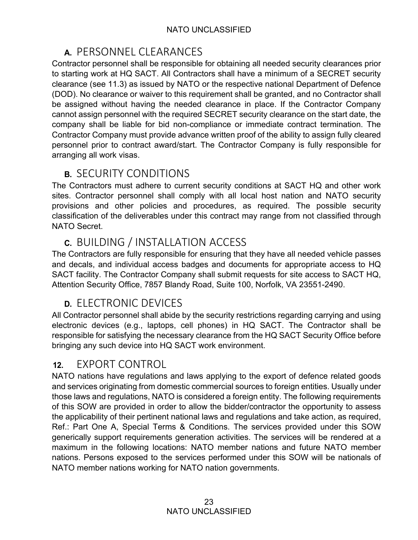# **A.** PERSONNEL CLEARANCES

Contractor personnel shall be responsible for obtaining all needed security clearances prior to starting work at HQ SACT. All Contractors shall have a minimum of a SECRET security clearance (see 11.3) as issued by NATO or the respective national Department of Defence (DOD). No clearance or waiver to this requirement shall be granted, and no Contractor shall be assigned without having the needed clearance in place. If the Contractor Company cannot assign personnel with the required SECRET security clearance on the start date, the company shall be liable for bid non-compliance or immediate contract termination. The Contractor Company must provide advance written proof of the ability to assign fully cleared personnel prior to contract award/start. The Contractor Company is fully responsible for arranging all work visas.

# **B.** SECURITY CONDITIONS

The Contractors must adhere to current security conditions at SACT HQ and other work sites. Contractor personnel shall comply with all local host nation and NATO security provisions and other policies and procedures, as required. The possible security classification of the deliverables under this contract may range from not classified through NATO Secret.

# **C.** BUILDING / INSTALLATION ACCESS

The Contractors are fully responsible for ensuring that they have all needed vehicle passes and decals, and individual access badges and documents for appropriate access to HQ SACT facility. The Contractor Company shall submit requests for site access to SACT HQ, Attention Security Office, 7857 Blandy Road, Suite 100, Norfolk, VA 23551-2490.

# **D.** ELECTRONIC DEVICES

All Contractor personnel shall abide by the security restrictions regarding carrying and using electronic devices (e.g., laptops, cell phones) in HQ SACT. The Contractor shall be responsible for satisfying the necessary clearance from the HQ SACT Security Office before bringing any such device into HQ SACT work environment.

## **12.** EXPORT CONTROL

NATO nations have regulations and laws applying to the export of defence related goods and services originating from domestic commercial sources to foreign entities. Usually under those laws and regulations, NATO is considered a foreign entity. The following requirements of this SOW are provided in order to allow the bidder/contractor the opportunity to assess the applicability of their pertinent national laws and regulations and take action, as required, Ref.: Part One A, Special Terms & Conditions. The services provided under this SOW generically support requirements generation activities. The services will be rendered at a maximum in the following locations: NATO member nations and future NATO member nations. Persons exposed to the services performed under this SOW will be nationals of NATO member nations working for NATO nation governments.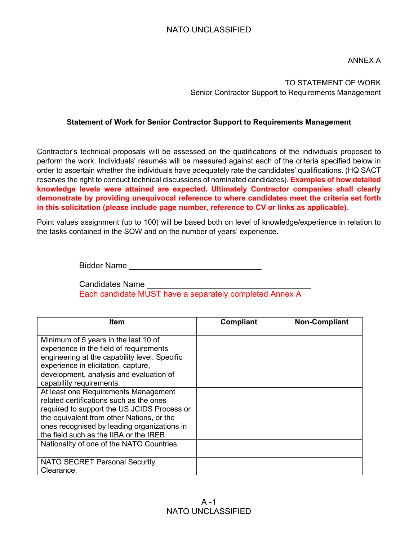ANNEX A

### TO STATEMENT OF WORK Senior Contractor Support to Requirements Management

#### **Statement of Work for Senior Contractor Support to Requirements Management**

Contractor's technical proposals will be assessed on the qualifications of the individuals proposed to perform the work. Individuals' résumés will be measured against each of the criteria specified below in order to ascertain whether the individuals have adequately rate the candidates' qualifications. (HQ SACT reserves the right to conduct technical discussions of nominated candidates). **Examples of how detailed knowledge levels were attained are expected. Ultimately Contractor companies shall clearly demonstrate by providing unequivocal reference to where candidates meet the criteria set forth in this solicitation (please include page number, reference to CV or links as applicable).**

Point values assignment (up to 100) will be based both on level of knowledge/experience in relation to the tasks contained in the SOW and on the number of years' experience.

Bidder Name \_\_\_\_\_\_\_\_\_\_\_\_\_\_\_\_\_\_\_\_\_\_\_\_\_\_\_\_\_

Candidates Name Each candidate MUST have a separately completed Annex A

| ltem                                                                                                                                                                                                                                                                  | <b>Compliant</b> | <b>Non-Compliant</b> |
|-----------------------------------------------------------------------------------------------------------------------------------------------------------------------------------------------------------------------------------------------------------------------|------------------|----------------------|
| Minimum of 5 years in the last 10 of<br>experience in the field of requirements<br>engineering at the capability level. Specific<br>experience in elicitation, capture,<br>development, analysis and evaluation of<br>capability requirements.                        |                  |                      |
| At least one Requirements Management<br>related certifications such as the ones<br>required to support the US JCIDS Process or<br>the equivalent from other Nations, or the<br>ones recognised by leading organizations in<br>the field such as the IIBA or the IREB. |                  |                      |
| Nationality of one of the NATO Countries.                                                                                                                                                                                                                             |                  |                      |
| <b>NATO SECRET Personal Security</b><br>Clearance.                                                                                                                                                                                                                    |                  |                      |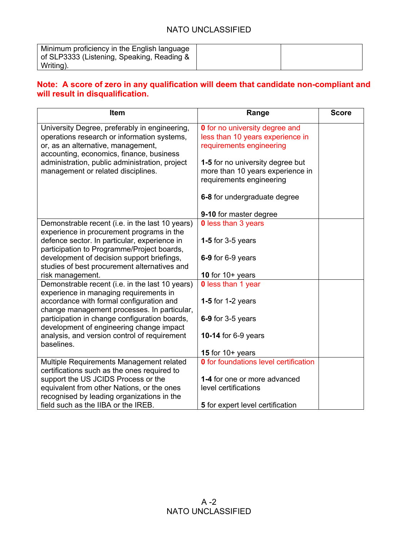| Minimum proficiency in the English language<br>of SLP3333 (Listening, Speaking, Reading & |  |
|-------------------------------------------------------------------------------------------|--|
| Writing).                                                                                 |  |

## **Note: A score of zero in any qualification will deem that candidate non-compliant and will result in disqualification.**

| Item                                                                                                                                                                           | Range                                                                                                 | <b>Score</b> |
|--------------------------------------------------------------------------------------------------------------------------------------------------------------------------------|-------------------------------------------------------------------------------------------------------|--------------|
| University Degree, preferably in engineering,<br>operations research or information systems,<br>or, as an alternative, management,<br>accounting, economics, finance, business | <b>0</b> for no university degree and<br>less than 10 years experience in<br>requirements engineering |              |
| administration, public administration, project<br>management or related disciplines.                                                                                           | 1-5 for no university degree but<br>more than 10 years experience in<br>requirements engineering      |              |
|                                                                                                                                                                                | 6-8 for undergraduate degree                                                                          |              |
|                                                                                                                                                                                | 9-10 for master degree                                                                                |              |
| Demonstrable recent (i.e. in the last 10 years)<br>experience in procurement programs in the                                                                                   | <b>0</b> less than 3 years                                                                            |              |
| defence sector. In particular, experience in<br>participation to Programme/Project boards,                                                                                     | 1-5 for $3-5$ years                                                                                   |              |
| development of decision support briefings,<br>studies of best procurement alternatives and                                                                                     | 6-9 for 6-9 years                                                                                     |              |
| risk management.                                                                                                                                                               | 10 for $10+$ years                                                                                    |              |
| Demonstrable recent (i.e. in the last 10 years)<br>experience in managing requirements in                                                                                      | <b>0</b> less than 1 year                                                                             |              |
| accordance with formal configuration and<br>change management processes. In particular,                                                                                        | 1-5 for 1-2 years                                                                                     |              |
| participation in change configuration boards,<br>development of engineering change impact                                                                                      | 6-9 for 3-5 years                                                                                     |              |
| analysis, and version control of requirement<br>baselines.                                                                                                                     | <b>10-14 for 6-9 years</b>                                                                            |              |
|                                                                                                                                                                                | 15 for $10+$ years                                                                                    |              |
| Multiple Requirements Management related<br>certifications such as the ones required to                                                                                        | <b>0</b> for foundations level certification                                                          |              |
| support the US JCIDS Process or the                                                                                                                                            | 1-4 for one or more advanced                                                                          |              |
| equivalent from other Nations, or the ones                                                                                                                                     | level certifications                                                                                  |              |
| recognised by leading organizations in the                                                                                                                                     |                                                                                                       |              |
| field such as the IIBA or the IREB.                                                                                                                                            | 5 for expert level certification                                                                      |              |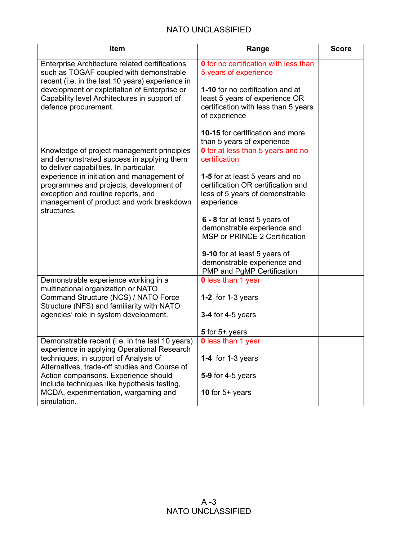| Item                                                                                                                                                                                   | Range                                                                                                                         | <b>Score</b> |
|----------------------------------------------------------------------------------------------------------------------------------------------------------------------------------------|-------------------------------------------------------------------------------------------------------------------------------|--------------|
| Enterprise Architecture related certifications<br>such as TOGAF coupled with demonstrable<br>recent (i.e. in the last 10 years) experience in                                          | <b>0</b> for no certification with less than<br>5 years of experience                                                         |              |
| development or exploitation of Enterprise or<br>Capability level Architectures in support of<br>defence procurement.                                                                   | 1-10 for no certification and at<br>least 5 years of experience OR<br>certification with less than 5 years<br>of experience   |              |
|                                                                                                                                                                                        | 10-15 for certification and more<br>than 5 years of experience                                                                |              |
| Knowledge of project management principles<br>and demonstrated success in applying them<br>to deliver capabilities. In particular,                                                     | <b>0</b> for at less than 5 years and no<br>certification                                                                     |              |
| experience in initiation and management of<br>programmes and projects, development of<br>exception and routine reports, and<br>management of product and work breakdown<br>structures. | <b>1-5</b> for at least 5 years and no<br>certification OR certification and<br>less of 5 years of demonstrable<br>experience |              |
|                                                                                                                                                                                        | 6 - 8 for at least 5 years of<br>demonstrable experience and<br><b>MSP or PRINCE 2 Certification</b>                          |              |
|                                                                                                                                                                                        | 9-10 for at least 5 years of<br>demonstrable experience and<br>PMP and PgMP Certification                                     |              |
| Demonstrable experience working in a<br>multinational organization or NATO                                                                                                             | <b>0</b> less than 1 year                                                                                                     |              |
| Command Structure (NCS) / NATO Force<br>Structure (NFS) and familiarity with NATO                                                                                                      | 1-2 for 1-3 years                                                                                                             |              |
| agencies' role in system development.                                                                                                                                                  | <b>3-4 for 4-5 years</b>                                                                                                      |              |
|                                                                                                                                                                                        | 5 for $5+$ years                                                                                                              |              |
| Demonstrable recent (i.e. in the last 10 years)<br>experience in applying Operational Research                                                                                         | <b>0</b> less than 1 year                                                                                                     |              |
| techniques, in support of Analysis of<br>Alternatives, trade-off studies and Course of                                                                                                 | 1-4 for 1-3 years                                                                                                             |              |
| Action comparisons. Experience should<br>include techniques like hypothesis testing,                                                                                                   | $5-9$ for 4-5 years                                                                                                           |              |
| MCDA, experimentation, wargaming and<br>simulation.                                                                                                                                    | 10 for $5+$ years                                                                                                             |              |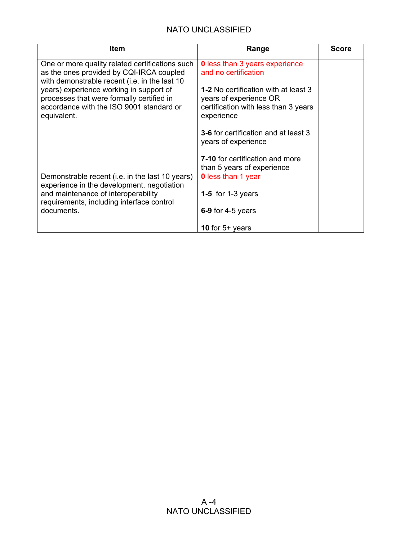| Item                                                                                                                                            | Range                                                                                                                       | <b>Score</b> |
|-------------------------------------------------------------------------------------------------------------------------------------------------|-----------------------------------------------------------------------------------------------------------------------------|--------------|
| One or more quality related certifications such<br>as the ones provided by CQI-IRCA coupled<br>with demonstrable recent (i.e. in the last 10    | <b>0</b> less than 3 years experience<br>and no certification                                                               |              |
| years) experience working in support of<br>processes that were formally certified in<br>accordance with the ISO 9001 standard or<br>equivalent. | <b>1-2</b> No certification with at least 3<br>years of experience OR<br>certification with less than 3 years<br>experience |              |
|                                                                                                                                                 | <b>3-6</b> for certification and at least 3<br>years of experience                                                          |              |
|                                                                                                                                                 | <b>7-10</b> for certification and more<br>than 5 years of experience                                                        |              |
| Demonstrable recent (i.e. in the last 10 years)<br>experience in the development, negotiation                                                   | <b>0</b> less than 1 year                                                                                                   |              |
| and maintenance of interoperability<br>requirements, including interface control                                                                | 1-5 for 1-3 years                                                                                                           |              |
| documents.                                                                                                                                      | 6-9 for 4-5 years                                                                                                           |              |
|                                                                                                                                                 | 10 for $5+$ years                                                                                                           |              |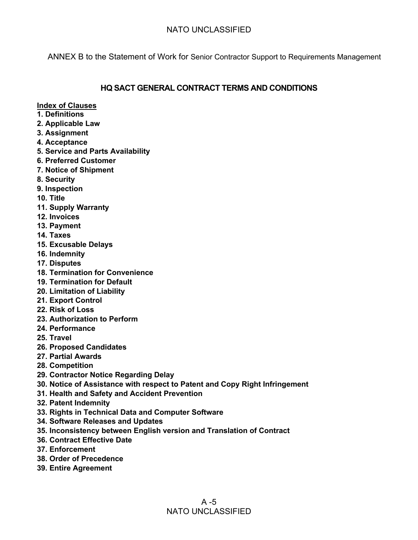ANNEX B to the Statement of Work for Senior Contractor Support to Requirements Management

### **HQ SACT GENERAL CONTRACT TERMS AND CONDITIONS**

**Index of Clauses**

- **1. Definitions**
- **2. Applicable Law**
- **3. Assignment**
- **4. Acceptance**
- **5. Service and Parts Availability**
- **6. Preferred Customer**
- **7. Notice of Shipment**
- **8. Security**
- **9. Inspection**
- **10. Title**
- **11. Supply Warranty**
- **12. Invoices**
- **13. Payment**
- **14. Taxes**
- **15. Excusable Delays**
- **16. Indemnity**
- **17. Disputes**
- **18. Termination for Convenience**
- **19. Termination for Default**
- **20. Limitation of Liability**
- **21. Export Control**
- **22. Risk of Loss**
- **23. Authorization to Perform**
- **24. Performance**
- **25. Travel**
- **26. Proposed Candidates**
- **27. Partial Awards**
- **28. Competition**
- **29. Contractor Notice Regarding Delay**
- **30. Notice of Assistance with respect to Patent and Copy Right Infringement**
- **31. Health and Safety and Accident Prevention**
- **32. Patent Indemnity**
- **33. Rights in Technical Data and Computer Software**
- **34. Software Releases and Updates**
- **35. Inconsistency between English version and Translation of Contract**
- **36. Contract Effective Date**
- **37. Enforcement**
- **38. Order of Precedence**
- **39. Entire Agreement**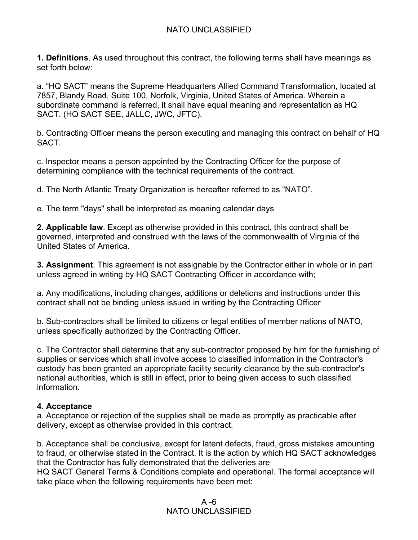**1. Definitions**. As used throughout this contract, the following terms shall have meanings as set forth below:

a. "HQ SACT" means the Supreme Headquarters Allied Command Transformation, located at 7857, Blandy Road, Suite 100, Norfolk, Virginia, United States of America. Wherein a subordinate command is referred, it shall have equal meaning and representation as HQ SACT. (HQ SACT SEE, JALLC, JWC, JFTC).

b. Contracting Officer means the person executing and managing this contract on behalf of HQ SACT.

c. Inspector means a person appointed by the Contracting Officer for the purpose of determining compliance with the technical requirements of the contract.

d. The North Atlantic Treaty Organization is hereafter referred to as "NATO".

e. The term "days" shall be interpreted as meaning calendar days

**2. Applicable law**. Except as otherwise provided in this contract, this contract shall be governed, interpreted and construed with the laws of the commonwealth of Virginia of the United States of America.

**3. Assignment**. This agreement is not assignable by the Contractor either in whole or in part unless agreed in writing by HQ SACT Contracting Officer in accordance with;

a. Any modifications, including changes, additions or deletions and instructions under this contract shall not be binding unless issued in writing by the Contracting Officer

b. Sub-contractors shall be limited to citizens or legal entities of member nations of NATO, unless specifically authorized by the Contracting Officer.

c. The Contractor shall determine that any sub-contractor proposed by him for the furnishing of supplies or services which shall involve access to classified information in the Contractor's custody has been granted an appropriate facility security clearance by the sub-contractor's national authorities, which is still in effect, prior to being given access to such classified information.

## **4. Acceptance**

a. Acceptance or rejection of the supplies shall be made as promptly as practicable after delivery, except as otherwise provided in this contract.

b. Acceptance shall be conclusive, except for latent defects, fraud, gross mistakes amounting to fraud, or otherwise stated in the Contract. It is the action by which HQ SACT acknowledges that the Contractor has fully demonstrated that the deliveries are HQ SACT General Terms & Conditions complete and operational. The formal acceptance will

take place when the following requirements have been met: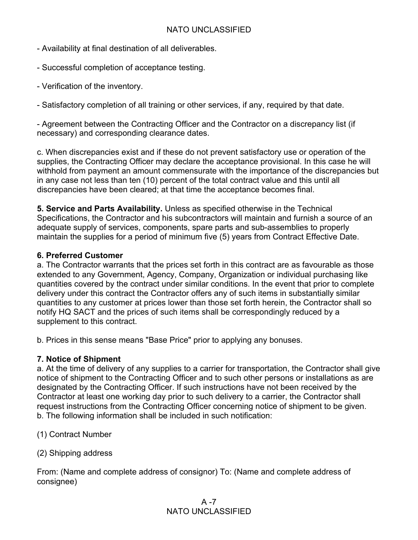- Availability at final destination of all deliverables.
- Successful completion of acceptance testing.
- Verification of the inventory.

- Satisfactory completion of all training or other services, if any, required by that date.

- Agreement between the Contracting Officer and the Contractor on a discrepancy list (if necessary) and corresponding clearance dates.

c. When discrepancies exist and if these do not prevent satisfactory use or operation of the supplies, the Contracting Officer may declare the acceptance provisional. In this case he will withhold from payment an amount commensurate with the importance of the discrepancies but in any case not less than ten (10) percent of the total contract value and this until all discrepancies have been cleared; at that time the acceptance becomes final.

**5. Service and Parts Availability.** Unless as specified otherwise in the Technical Specifications, the Contractor and his subcontractors will maintain and furnish a source of an adequate supply of services, components, spare parts and sub-assemblies to properly maintain the supplies for a period of minimum five (5) years from Contract Effective Date.

#### **6. Preferred Customer**

a. The Contractor warrants that the prices set forth in this contract are as favourable as those extended to any Government, Agency, Company, Organization or individual purchasing like quantities covered by the contract under similar conditions. In the event that prior to complete delivery under this contract the Contractor offers any of such items in substantially similar quantities to any customer at prices lower than those set forth herein, the Contractor shall so notify HQ SACT and the prices of such items shall be correspondingly reduced by a supplement to this contract.

b. Prices in this sense means "Base Price" prior to applying any bonuses.

#### **7. Notice of Shipment**

a. At the time of delivery of any supplies to a carrier for transportation, the Contractor shall give notice of shipment to the Contracting Officer and to such other persons or installations as are designated by the Contracting Officer. If such instructions have not been received by the Contractor at least one working day prior to such delivery to a carrier, the Contractor shall request instructions from the Contracting Officer concerning notice of shipment to be given. b. The following information shall be included in such notification:

- (1) Contract Number
- (2) Shipping address

From: (Name and complete address of consignor) To: (Name and complete address of consignee)

### $A - 7$ NATO UNCLASSIFIED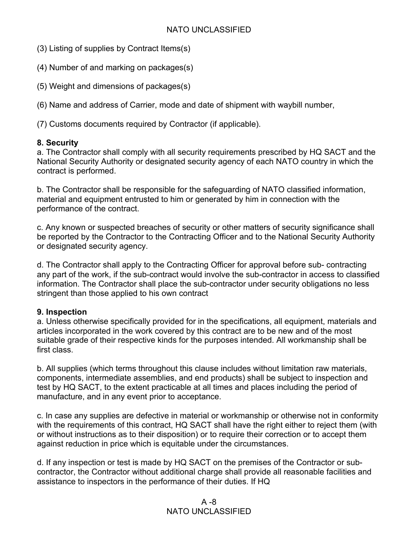- (3) Listing of supplies by Contract Items(s)
- (4) Number of and marking on packages(s)
- (5) Weight and dimensions of packages(s)

(6) Name and address of Carrier, mode and date of shipment with waybill number,

(7) Customs documents required by Contractor (if applicable).

## **8. Security**

a. The Contractor shall comply with all security requirements prescribed by HQ SACT and the National Security Authority or designated security agency of each NATO country in which the contract is performed.

b. The Contractor shall be responsible for the safeguarding of NATO classified information, material and equipment entrusted to him or generated by him in connection with the performance of the contract.

c. Any known or suspected breaches of security or other matters of security significance shall be reported by the Contractor to the Contracting Officer and to the National Security Authority or designated security agency.

d. The Contractor shall apply to the Contracting Officer for approval before sub- contracting any part of the work, if the sub-contract would involve the sub-contractor in access to classified information. The Contractor shall place the sub-contractor under security obligations no less stringent than those applied to his own contract

## **9. Inspection**

a. Unless otherwise specifically provided for in the specifications, all equipment, materials and articles incorporated in the work covered by this contract are to be new and of the most suitable grade of their respective kinds for the purposes intended. All workmanship shall be first class.

b. All supplies (which terms throughout this clause includes without limitation raw materials, components, intermediate assemblies, and end products) shall be subject to inspection and test by HQ SACT, to the extent practicable at all times and places including the period of manufacture, and in any event prior to acceptance.

c. In case any supplies are defective in material or workmanship or otherwise not in conformity with the requirements of this contract, HQ SACT shall have the right either to reject them (with or without instructions as to their disposition) or to require their correction or to accept them against reduction in price which is equitable under the circumstances.

d. If any inspection or test is made by HQ SACT on the premises of the Contractor or subcontractor, the Contractor without additional charge shall provide all reasonable facilities and assistance to inspectors in the performance of their duties. If HQ

## A -8 NATO UNCLASSIFIED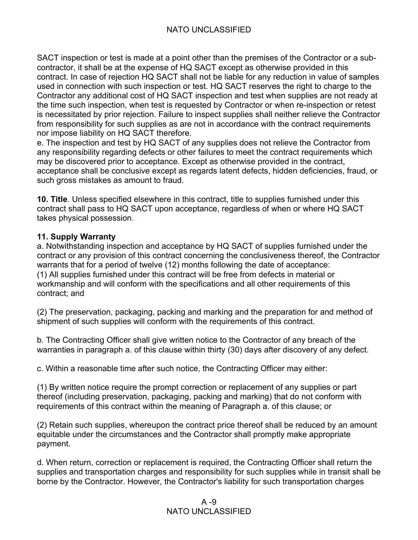SACT inspection or test is made at a point other than the premises of the Contractor or a subcontractor, it shall be at the expense of HQ SACT except as otherwise provided in this contract. In case of rejection HQ SACT shall not be liable for any reduction in value of samples used in connection with such inspection or test. HQ SACT reserves the right to charge to the Contractor any additional cost of HQ SACT inspection and test when supplies are not ready at the time such inspection, when test is requested by Contractor or when re-inspection or retest is necessitated by prior rejection. Failure to inspect supplies shall neither relieve the Contractor from responsibility for such supplies as are not in accordance with the contract requirements nor impose liability on HQ SACT therefore.

e. The inspection and test by HQ SACT of any supplies does not relieve the Contractor from any responsibility regarding defects or other failures to meet the contract requirements which may be discovered prior to acceptance. Except as otherwise provided in the contract, acceptance shall be conclusive except as regards latent defects, hidden deficiencies, fraud, or such gross mistakes as amount to fraud.

**10. Title**. Unless specified elsewhere in this contract, title to supplies furnished under this contract shall pass to HQ SACT upon acceptance, regardless of when or where HQ SACT takes physical possession.

## **11. Supply Warranty**

a. Notwithstanding inspection and acceptance by HQ SACT of supplies furnished under the contract or any provision of this contract concerning the conclusiveness thereof, the Contractor warrants that for a period of twelve (12) months following the date of acceptance: (1) All supplies furnished under this contract will be free from defects in material or workmanship and will conform with the specifications and all other requirements of this contract; and

(2) The preservation, packaging, packing and marking and the preparation for and method of shipment of such supplies will conform with the requirements of this contract.

b. The Contracting Officer shall give written notice to the Contractor of any breach of the warranties in paragraph a. of this clause within thirty (30) days after discovery of any defect.

c. Within a reasonable time after such notice, the Contracting Officer may either:

(1) By written notice require the prompt correction or replacement of any supplies or part thereof (including preservation, packaging, packing and marking) that do not conform with requirements of this contract within the meaning of Paragraph a. of this clause; or

(2) Retain such supplies, whereupon the contract price thereof shall be reduced by an amount equitable under the circumstances and the Contractor shall promptly make appropriate payment.

d. When return, correction or replacement is required, the Contracting Officer shall return the supplies and transportation charges and responsibility for such supplies while in transit shall be borne by the Contractor. However, the Contractor's liability for such transportation charges

## A -9 NATO UNCLASSIFIED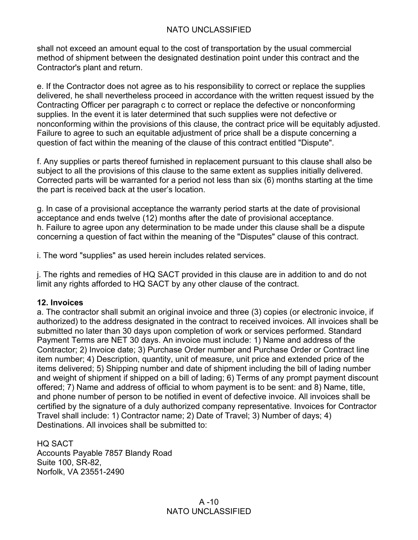shall not exceed an amount equal to the cost of transportation by the usual commercial method of shipment between the designated destination point under this contract and the Contractor's plant and return.

e. If the Contractor does not agree as to his responsibility to correct or replace the supplies delivered, he shall nevertheless proceed in accordance with the written request issued by the Contracting Officer per paragraph c to correct or replace the defective or nonconforming supplies. In the event it is later determined that such supplies were not defective or nonconforming within the provisions of this clause, the contract price will be equitably adjusted. Failure to agree to such an equitable adjustment of price shall be a dispute concerning a question of fact within the meaning of the clause of this contract entitled "Dispute".

f. Any supplies or parts thereof furnished in replacement pursuant to this clause shall also be subject to all the provisions of this clause to the same extent as supplies initially delivered. Corrected parts will be warranted for a period not less than six (6) months starting at the time the part is received back at the user's location.

g. In case of a provisional acceptance the warranty period starts at the date of provisional acceptance and ends twelve (12) months after the date of provisional acceptance. h. Failure to agree upon any determination to be made under this clause shall be a dispute concerning a question of fact within the meaning of the "Disputes" clause of this contract.

i. The word "supplies" as used herein includes related services.

j. The rights and remedies of HQ SACT provided in this clause are in addition to and do not limit any rights afforded to HQ SACT by any other clause of the contract.

#### **12. Invoices**

a. The contractor shall submit an original invoice and three (3) copies (or electronic invoice, if authorized) to the address designated in the contract to received invoices. All invoices shall be submitted no later than 30 days upon completion of work or services performed. Standard Payment Terms are NET 30 days. An invoice must include: 1) Name and address of the Contractor; 2) Invoice date; 3) Purchase Order number and Purchase Order or Contract line item number; 4) Description, quantity, unit of measure, unit price and extended price of the items delivered; 5) Shipping number and date of shipment including the bill of lading number and weight of shipment if shipped on a bill of lading; 6) Terms of any prompt payment discount offered; 7) Name and address of official to whom payment is to be sent: and 8) Name, title, and phone number of person to be notified in event of defective invoice. All invoices shall be certified by the signature of a duly authorized company representative. Invoices for Contractor Travel shall include: 1) Contractor name; 2) Date of Travel; 3) Number of days; 4) Destinations. All invoices shall be submitted to:

HQ SACT Accounts Payable 7857 Blandy Road Suite 100, SR-82, Norfolk, VA 23551-2490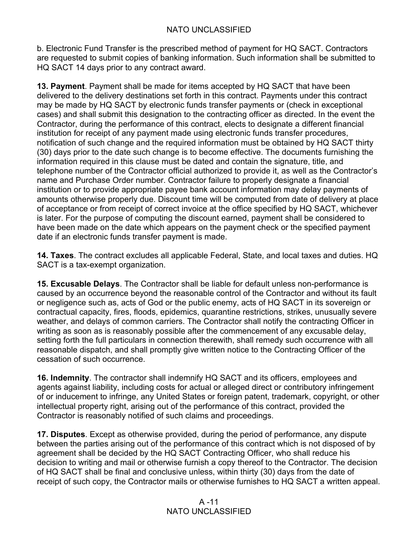b. Electronic Fund Transfer is the prescribed method of payment for HQ SACT. Contractors are requested to submit copies of banking information. Such information shall be submitted to HQ SACT 14 days prior to any contract award.

**13. Payment**. Payment shall be made for items accepted by HQ SACT that have been delivered to the delivery destinations set forth in this contract. Payments under this contract may be made by HQ SACT by electronic funds transfer payments or (check in exceptional cases) and shall submit this designation to the contracting officer as directed. In the event the Contractor, during the performance of this contract, elects to designate a different financial institution for receipt of any payment made using electronic funds transfer procedures, notification of such change and the required information must be obtained by HQ SACT thirty (30) days prior to the date such change is to become effective. The documents furnishing the information required in this clause must be dated and contain the signature, title, and telephone number of the Contractor official authorized to provide it, as well as the Contractor's name and Purchase Order number. Contractor failure to properly designate a financial institution or to provide appropriate payee bank account information may delay payments of amounts otherwise properly due. Discount time will be computed from date of delivery at place of acceptance or from receipt of correct invoice at the office specified by HQ SACT, whichever is later. For the purpose of computing the discount earned, payment shall be considered to have been made on the date which appears on the payment check or the specified payment date if an electronic funds transfer payment is made.

**14. Taxes**. The contract excludes all applicable Federal, State, and local taxes and duties. HQ SACT is a tax-exempt organization.

**15. Excusable Delays**. The Contractor shall be liable for default unless non-performance is caused by an occurrence beyond the reasonable control of the Contractor and without its fault or negligence such as, acts of God or the public enemy, acts of HQ SACT in its sovereign or contractual capacity, fires, floods, epidemics, quarantine restrictions, strikes, unusually severe weather, and delays of common carriers. The Contractor shall notify the contracting Officer in writing as soon as is reasonably possible after the commencement of any excusable delay, setting forth the full particulars in connection therewith, shall remedy such occurrence with all reasonable dispatch, and shall promptly give written notice to the Contracting Officer of the cessation of such occurrence.

**16. Indemnity**. The contractor shall indemnify HQ SACT and its officers, employees and agents against liability, including costs for actual or alleged direct or contributory infringement of or inducement to infringe, any United States or foreign patent, trademark, copyright, or other intellectual property right, arising out of the performance of this contract, provided the Contractor is reasonably notified of such claims and proceedings.

**17. Disputes**. Except as otherwise provided, during the period of performance, any dispute between the parties arising out of the performance of this contract which is not disposed of by agreement shall be decided by the HQ SACT Contracting Officer, who shall reduce his decision to writing and mail or otherwise furnish a copy thereof to the Contractor. The decision of HQ SACT shall be final and conclusive unless, within thirty (30) days from the date of receipt of such copy, the Contractor mails or otherwise furnishes to HQ SACT a written appeal.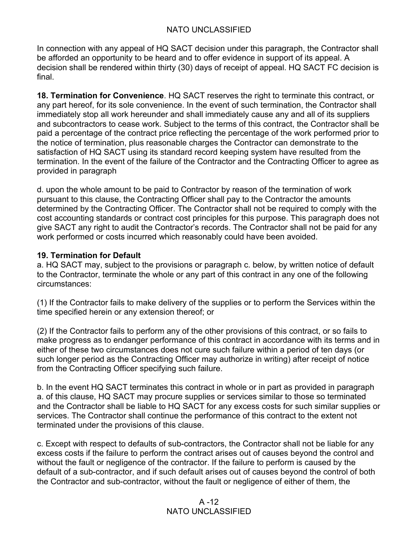In connection with any appeal of HQ SACT decision under this paragraph, the Contractor shall be afforded an opportunity to be heard and to offer evidence in support of its appeal. A decision shall be rendered within thirty (30) days of receipt of appeal. HQ SACT FC decision is final.

**18. Termination for Convenience**. HQ SACT reserves the right to terminate this contract, or any part hereof, for its sole convenience. In the event of such termination, the Contractor shall immediately stop all work hereunder and shall immediately cause any and all of its suppliers and subcontractors to cease work. Subject to the terms of this contract, the Contractor shall be paid a percentage of the contract price reflecting the percentage of the work performed prior to the notice of termination, plus reasonable charges the Contractor can demonstrate to the satisfaction of HQ SACT using its standard record keeping system have resulted from the termination. In the event of the failure of the Contractor and the Contracting Officer to agree as provided in paragraph

d. upon the whole amount to be paid to Contractor by reason of the termination of work pursuant to this clause, the Contracting Officer shall pay to the Contractor the amounts determined by the Contracting Officer. The Contractor shall not be required to comply with the cost accounting standards or contract cost principles for this purpose. This paragraph does not give SACT any right to audit the Contractor's records. The Contractor shall not be paid for any work performed or costs incurred which reasonably could have been avoided.

## **19. Termination for Default**

a. HQ SACT may, subject to the provisions or paragraph c. below, by written notice of default to the Contractor, terminate the whole or any part of this contract in any one of the following circumstances:

(1) If the Contractor fails to make delivery of the supplies or to perform the Services within the time specified herein or any extension thereof; or

(2) If the Contractor fails to perform any of the other provisions of this contract, or so fails to make progress as to endanger performance of this contract in accordance with its terms and in either of these two circumstances does not cure such failure within a period of ten days (or such longer period as the Contracting Officer may authorize in writing) after receipt of notice from the Contracting Officer specifying such failure.

b. In the event HQ SACT terminates this contract in whole or in part as provided in paragraph a. of this clause, HQ SACT may procure supplies or services similar to those so terminated and the Contractor shall be liable to HQ SACT for any excess costs for such similar supplies or services. The Contractor shall continue the performance of this contract to the extent not terminated under the provisions of this clause.

c. Except with respect to defaults of sub-contractors, the Contractor shall not be liable for any excess costs if the failure to perform the contract arises out of causes beyond the control and without the fault or negligence of the contractor. If the failure to perform is caused by the default of a sub-contractor, and if such default arises out of causes beyond the control of both the Contractor and sub-contractor, without the fault or negligence of either of them, the

## $A - 12$ NATO UNCLASSIFIED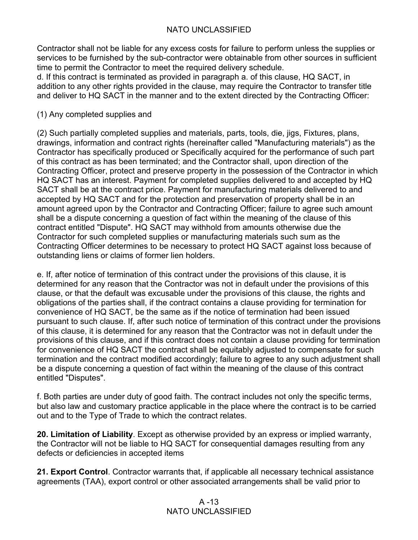Contractor shall not be liable for any excess costs for failure to perform unless the supplies or services to be furnished by the sub-contractor were obtainable from other sources in sufficient time to permit the Contractor to meet the required delivery schedule.

d. If this contract is terminated as provided in paragraph a. of this clause, HQ SACT, in addition to any other rights provided in the clause, may require the Contractor to transfer title and deliver to HQ SACT in the manner and to the extent directed by the Contracting Officer:

## (1) Any completed supplies and

(2) Such partially completed supplies and materials, parts, tools, die, jigs, Fixtures, plans, drawings, information and contract rights (hereinafter called "Manufacturing materials") as the Contractor has specifically produced or Specifically acquired for the performance of such part of this contract as has been terminated; and the Contractor shall, upon direction of the Contracting Officer, protect and preserve property in the possession of the Contractor in which HQ SACT has an interest. Payment for completed supplies delivered to and accepted by HQ SACT shall be at the contract price. Payment for manufacturing materials delivered to and accepted by HQ SACT and for the protection and preservation of property shall be in an amount agreed upon by the Contractor and Contracting Officer; failure to agree such amount shall be a dispute concerning a question of fact within the meaning of the clause of this contract entitled "Dispute". HQ SACT may withhold from amounts otherwise due the Contractor for such completed supplies or manufacturing materials such sum as the Contracting Officer determines to be necessary to protect HQ SACT against loss because of outstanding liens or claims of former lien holders.

e. If, after notice of termination of this contract under the provisions of this clause, it is determined for any reason that the Contractor was not in default under the provisions of this clause, or that the default was excusable under the provisions of this clause, the rights and obligations of the parties shall, if the contract contains a clause providing for termination for convenience of HQ SACT, be the same as if the notice of termination had been issued pursuant to such clause. If, after such notice of termination of this contract under the provisions of this clause, it is determined for any reason that the Contractor was not in default under the provisions of this clause, and if this contract does not contain a clause providing for termination for convenience of HQ SACT the contract shall be equitably adjusted to compensate for such termination and the contract modified accordingly; failure to agree to any such adjustment shall be a dispute concerning a question of fact within the meaning of the clause of this contract entitled "Disputes".

f. Both parties are under duty of good faith. The contract includes not only the specific terms, but also law and customary practice applicable in the place where the contract is to be carried out and to the Type of Trade to which the contract relates.

**20. Limitation of Liability**. Except as otherwise provided by an express or implied warranty, the Contractor will not be liable to HQ SACT for consequential damages resulting from any defects or deficiencies in accepted items

**21. Export Control**. Contractor warrants that, if applicable all necessary technical assistance agreements (TAA), export control or other associated arrangements shall be valid prior to

## $A - 13$ NATO UNCLASSIFIED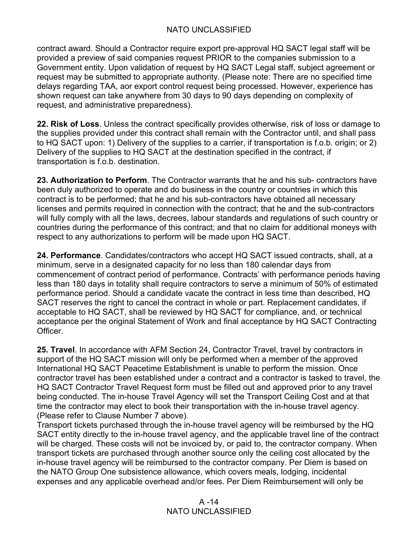contract award. Should a Contractor require export pre-approval HQ SACT legal staff will be provided a preview of said companies request PRIOR to the companies submission to a Government entity. Upon validation of request by HQ SACT Legal staff, subject agreement or request may be submitted to appropriate authority. (Please note: There are no specified time delays regarding TAA, aor export control request being processed. However, experience has shown request can take anywhere from 30 days to 90 days depending on complexity of request, and administrative preparedness).

**22. Risk of Loss**. Unless the contract specifically provides otherwise, risk of loss or damage to the supplies provided under this contract shall remain with the Contractor until, and shall pass to HQ SACT upon: 1) Delivery of the supplies to a carrier, if transportation is f.o.b. origin; or 2) Delivery of the supplies to HQ SACT at the destination specified in the contract, if transportation is f.o.b. destination.

**23. Authorization to Perform**. The Contractor warrants that he and his sub- contractors have been duly authorized to operate and do business in the country or countries in which this contract is to be performed; that he and his sub-contractors have obtained all necessary licenses and permits required in connection with the contract; that he and the sub-contractors will fully comply with all the laws, decrees, labour standards and regulations of such country or countries during the performance of this contract; and that no claim for additional moneys with respect to any authorizations to perform will be made upon HQ SACT.

**24. Performance**. Candidates/contractors who accept HQ SACT issued contracts, shall, at a minimum, serve in a designated capacity for no less than 180 calendar days from commencement of contract period of performance. Contracts' with performance periods having less than 180 days in totality shall require contractors to serve a minimum of 50% of estimated performance period. Should a candidate vacate the contract in less time than described, HQ SACT reserves the right to cancel the contract in whole or part. Replacement candidates, if acceptable to HQ SACT, shall be reviewed by HQ SACT for compliance, and, or technical acceptance per the original Statement of Work and final acceptance by HQ SACT Contracting Officer.

**25. Travel**. In accordance with AFM Section 24, Contractor Travel, travel by contractors in support of the HQ SACT mission will only be performed when a member of the approved International HQ SACT Peacetime Establishment is unable to perform the mission. Once contractor travel has been established under a contract and a contractor is tasked to travel, the HQ SACT Contractor Travel Request form must be filled out and approved prior to any travel being conducted. The in-house Travel Agency will set the Transport Ceiling Cost and at that time the contractor may elect to book their transportation with the in-house travel agency. (Please refer to Clause Number 7 above).

Transport tickets purchased through the in-house travel agency will be reimbursed by the HQ SACT entity directly to the in-house travel agency, and the applicable travel line of the contract will be charged. These costs will not be invoiced by, or paid to, the contractor company. When transport tickets are purchased through another source only the ceiling cost allocated by the in-house travel agency will be reimbursed to the contractor company. Per Diem is based on the NATO Group One subsistence allowance, which covers meals, lodging, incidental expenses and any applicable overhead and/or fees. Per Diem Reimbursement will only be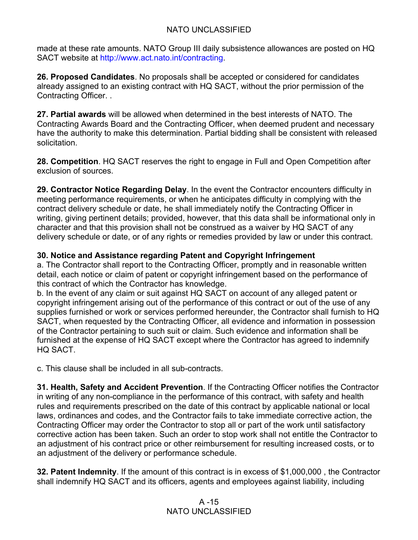made at these rate amounts. NATO Group III daily subsistence allowances are posted on HQ SACT website at http://www.act.nato.int/contracting.

**26. Proposed Candidates**. No proposals shall be accepted or considered for candidates already assigned to an existing contract with HQ SACT, without the prior permission of the Contracting Officer. .

**27. Partial awards** will be allowed when determined in the best interests of NATO. The Contracting Awards Board and the Contracting Officer, when deemed prudent and necessary have the authority to make this determination. Partial bidding shall be consistent with released solicitation.

**28. Competition**. HQ SACT reserves the right to engage in Full and Open Competition after exclusion of sources.

**29. Contractor Notice Regarding Delay**. In the event the Contractor encounters difficulty in meeting performance requirements, or when he anticipates difficulty in complying with the contract delivery schedule or date, he shall immediately notify the Contracting Officer in writing, giving pertinent details; provided, however, that this data shall be informational only in character and that this provision shall not be construed as a waiver by HQ SACT of any delivery schedule or date, or of any rights or remedies provided by law or under this contract.

## **30. Notice and Assistance regarding Patent and Copyright Infringement**

a. The Contractor shall report to the Contracting Officer, promptly and in reasonable written detail, each notice or claim of patent or copyright infringement based on the performance of this contract of which the Contractor has knowledge.

b. In the event of any claim or suit against HQ SACT on account of any alleged patent or copyright infringement arising out of the performance of this contract or out of the use of any supplies furnished or work or services performed hereunder, the Contractor shall furnish to HQ SACT, when requested by the Contracting Officer, all evidence and information in possession of the Contractor pertaining to such suit or claim. Such evidence and information shall be furnished at the expense of HQ SACT except where the Contractor has agreed to indemnify HQ SACT.

c. This clause shall be included in all sub-contracts.

**31. Health, Safety and Accident Prevention**. If the Contracting Officer notifies the Contractor in writing of any non-compliance in the performance of this contract, with safety and health rules and requirements prescribed on the date of this contract by applicable national or local laws, ordinances and codes, and the Contractor fails to take immediate corrective action, the Contracting Officer may order the Contractor to stop all or part of the work until satisfactory corrective action has been taken. Such an order to stop work shall not entitle the Contractor to an adjustment of his contract price or other reimbursement for resulting increased costs, or to an adjustment of the delivery or performance schedule.

**32. Patent Indemnity**. If the amount of this contract is in excess of \$1,000,000 , the Contractor shall indemnify HQ SACT and its officers, agents and employees against liability, including

## A -15 NATO UNCLASSIFIED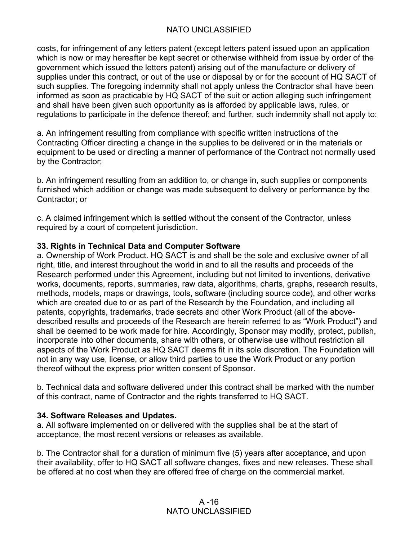costs, for infringement of any letters patent (except letters patent issued upon an application which is now or may hereafter be kept secret or otherwise withheld from issue by order of the government which issued the letters patent) arising out of the manufacture or delivery of supplies under this contract, or out of the use or disposal by or for the account of HQ SACT of such supplies. The foregoing indemnity shall not apply unless the Contractor shall have been informed as soon as practicable by HQ SACT of the suit or action alleging such infringement and shall have been given such opportunity as is afforded by applicable laws, rules, or regulations to participate in the defence thereof; and further, such indemnity shall not apply to:

a. An infringement resulting from compliance with specific written instructions of the Contracting Officer directing a change in the supplies to be delivered or in the materials or equipment to be used or directing a manner of performance of the Contract not normally used by the Contractor;

b. An infringement resulting from an addition to, or change in, such supplies or components furnished which addition or change was made subsequent to delivery or performance by the Contractor; or

c. A claimed infringement which is settled without the consent of the Contractor, unless required by a court of competent jurisdiction.

#### **33. Rights in Technical Data and Computer Software**

a. Ownership of Work Product. HQ SACT is and shall be the sole and exclusive owner of all right, title, and interest throughout the world in and to all the results and proceeds of the Research performed under this Agreement, including but not limited to inventions, derivative works, documents, reports, summaries, raw data, algorithms, charts, graphs, research results, methods, models, maps or drawings, tools, software (including source code), and other works which are created due to or as part of the Research by the Foundation, and including all patents, copyrights, trademarks, trade secrets and other Work Product (all of the abovedescribed results and proceeds of the Research are herein referred to as "Work Product") and shall be deemed to be work made for hire. Accordingly, Sponsor may modify, protect, publish, incorporate into other documents, share with others, or otherwise use without restriction all aspects of the Work Product as HQ SACT deems fit in its sole discretion. The Foundation will not in any way use, license, or allow third parties to use the Work Product or any portion thereof without the express prior written consent of Sponsor.

b. Technical data and software delivered under this contract shall be marked with the number of this contract, name of Contractor and the rights transferred to HQ SACT.

#### **34. Software Releases and Updates.**

a. All software implemented on or delivered with the supplies shall be at the start of acceptance, the most recent versions or releases as available.

b. The Contractor shall for a duration of minimum five (5) years after acceptance, and upon their availability, offer to HQ SACT all software changes, fixes and new releases. These shall be offered at no cost when they are offered free of charge on the commercial market.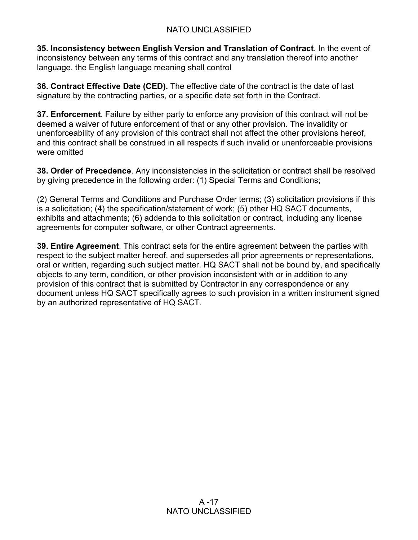**35. Inconsistency between English Version and Translation of Contract**. In the event of inconsistency between any terms of this contract and any translation thereof into another language, the English language meaning shall control

**36. Contract Effective Date (CED).** The effective date of the contract is the date of last signature by the contracting parties, or a specific date set forth in the Contract.

**37. Enforcement**. Failure by either party to enforce any provision of this contract will not be deemed a waiver of future enforcement of that or any other provision. The invalidity or unenforceability of any provision of this contract shall not affect the other provisions hereof, and this contract shall be construed in all respects if such invalid or unenforceable provisions were omitted

**38. Order of Precedence**. Any inconsistencies in the solicitation or contract shall be resolved by giving precedence in the following order: (1) Special Terms and Conditions;

(2) General Terms and Conditions and Purchase Order terms; (3) solicitation provisions if this is a solicitation; (4) the specification/statement of work; (5) other HQ SACT documents, exhibits and attachments; (6) addenda to this solicitation or contract, including any license agreements for computer software, or other Contract agreements.

**39. Entire Agreement**. This contract sets for the entire agreement between the parties with respect to the subject matter hereof, and supersedes all prior agreements or representations, oral or written, regarding such subject matter. HQ SACT shall not be bound by, and specifically objects to any term, condition, or other provision inconsistent with or in addition to any provision of this contract that is submitted by Contractor in any correspondence or any document unless HQ SACT specifically agrees to such provision in a written instrument signed by an authorized representative of HQ SACT.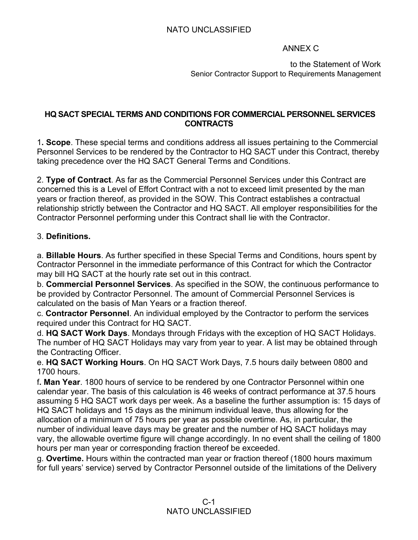## ANNEX C

to the Statement of Work Senior Contractor Support to Requirements Management

#### **HQ SACT SPECIAL TERMS AND CONDITIONS FOR COMMERCIAL PERSONNEL SERVICES CONTRACTS**

1**. Scope**. These special terms and conditions address all issues pertaining to the Commercial Personnel Services to be rendered by the Contractor to HQ SACT under this Contract, thereby taking precedence over the HQ SACT General Terms and Conditions.

2. **Type of Contract**. As far as the Commercial Personnel Services under this Contract are concerned this is a Level of Effort Contract with a not to exceed limit presented by the man years or fraction thereof, as provided in the SOW. This Contract establishes a contractual relationship strictly between the Contractor and HQ SACT. All employer responsibilities for the Contractor Personnel performing under this Contract shall lie with the Contractor.

## 3. **Definitions.**

a. **Billable Hours**. As further specified in these Special Terms and Conditions, hours spent by Contractor Personnel in the immediate performance of this Contract for which the Contractor may bill HQ SACT at the hourly rate set out in this contract.

b. **Commercial Personnel Services**. As specified in the SOW, the continuous performance to be provided by Contractor Personnel. The amount of Commercial Personnel Services is calculated on the basis of Man Years or a fraction thereof.

c. **Contractor Personnel**. An individual employed by the Contractor to perform the services required under this Contract for HQ SACT.

d. **HQ SACT Work Days**. Mondays through Fridays with the exception of HQ SACT Holidays. The number of HQ SACT Holidays may vary from year to year. A list may be obtained through the Contracting Officer.

e. **HQ SACT Working Hours**. On HQ SACT Work Days, 7.5 hours daily between 0800 and 1700 hours.

f**. Man Year**. 1800 hours of service to be rendered by one Contractor Personnel within one calendar year. The basis of this calculation is 46 weeks of contract performance at 37.5 hours assuming 5 HQ SACT work days per week. As a baseline the further assumption is: 15 days of HQ SACT holidays and 15 days as the minimum individual leave, thus allowing for the allocation of a minimum of 75 hours per year as possible overtime. As, in particular, the number of individual leave days may be greater and the number of HQ SACT holidays may vary, the allowable overtime figure will change accordingly. In no event shall the ceiling of 1800 hours per man year or corresponding fraction thereof be exceeded.

g. **Overtime.** Hours within the contracted man year or fraction thereof (1800 hours maximum for full years' service) served by Contractor Personnel outside of the limitations of the Delivery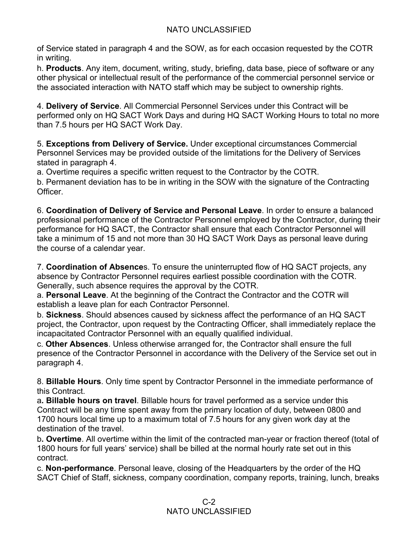of Service stated in paragraph 4 and the SOW, as for each occasion requested by the COTR in writing.

h. **Products**. Any item, document, writing, study, briefing, data base, piece of software or any other physical or intellectual result of the performance of the commercial personnel service or the associated interaction with NATO staff which may be subject to ownership rights.

4. **Delivery of Service**. All Commercial Personnel Services under this Contract will be performed only on HQ SACT Work Days and during HQ SACT Working Hours to total no more than 7.5 hours per HQ SACT Work Day.

5. **Exceptions from Delivery of Service.** Under exceptional circumstances Commercial Personnel Services may be provided outside of the limitations for the Delivery of Services stated in paragraph 4.

a. Overtime requires a specific written request to the Contractor by the COTR.

b. Permanent deviation has to be in writing in the SOW with the signature of the Contracting Officer.

6. **Coordination of Delivery of Service and Personal Leave**. In order to ensure a balanced professional performance of the Contractor Personnel employed by the Contractor, during their performance for HQ SACT, the Contractor shall ensure that each Contractor Personnel will take a minimum of 15 and not more than 30 HQ SACT Work Days as personal leave during the course of a calendar year.

7. **Coordination of Absence**s. To ensure the uninterrupted flow of HQ SACT projects, any absence by Contractor Personnel requires earliest possible coordination with the COTR. Generally, such absence requires the approval by the COTR.

a. **Personal Leave**. At the beginning of the Contract the Contractor and the COTR will establish a leave plan for each Contractor Personnel.

b. **Sickness**. Should absences caused by sickness affect the performance of an HQ SACT project, the Contractor, upon request by the Contracting Officer, shall immediately replace the incapacitated Contractor Personnel with an equally qualified individual.

c. **Other Absences**. Unless otherwise arranged for, the Contractor shall ensure the full presence of the Contractor Personnel in accordance with the Delivery of the Service set out in paragraph 4.

8. **Billable Hours**. Only time spent by Contractor Personnel in the immediate performance of this Contract.

a**. Billable hours on travel**. Billable hours for travel performed as a service under this Contract will be any time spent away from the primary location of duty, between 0800 and 1700 hours local time up to a maximum total of 7.5 hours for any given work day at the destination of the travel.

b**. Overtime**. All overtime within the limit of the contracted man-year or fraction thereof (total of 1800 hours for full years' service) shall be billed at the normal hourly rate set out in this contract.

c. **Non-performance**. Personal leave, closing of the Headquarters by the order of the HQ SACT Chief of Staff, sickness, company coordination, company reports, training, lunch, breaks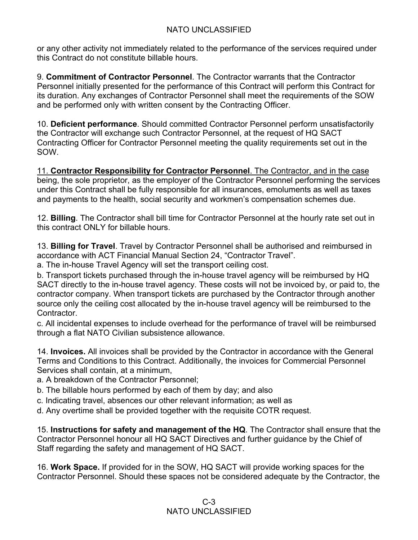or any other activity not immediately related to the performance of the services required under this Contract do not constitute billable hours.

9. **Commitment of Contractor Personnel**. The Contractor warrants that the Contractor Personnel initially presented for the performance of this Contract will perform this Contract for its duration. Any exchanges of Contractor Personnel shall meet the requirements of the SOW and be performed only with written consent by the Contracting Officer.

10. **Deficient performance**. Should committed Contractor Personnel perform unsatisfactorily the Contractor will exchange such Contractor Personnel, at the request of HQ SACT Contracting Officer for Contractor Personnel meeting the quality requirements set out in the SOW.

11. **Contractor Responsibility for Contractor Personnel**. The Contractor, and in the case being, the sole proprietor, as the employer of the Contractor Personnel performing the services under this Contract shall be fully responsible for all insurances, emoluments as well as taxes and payments to the health, social security and workmen's compensation schemes due.

12. **Billing**. The Contractor shall bill time for Contractor Personnel at the hourly rate set out in this contract ONLY for billable hours.

13. **Billing for Travel**. Travel by Contractor Personnel shall be authorised and reimbursed in accordance with ACT Financial Manual Section 24, "Contractor Travel".

a. The in-house Travel Agency will set the transport ceiling cost.

b. Transport tickets purchased through the in-house travel agency will be reimbursed by HQ SACT directly to the in-house travel agency. These costs will not be invoiced by, or paid to, the contractor company. When transport tickets are purchased by the Contractor through another source only the ceiling cost allocated by the in-house travel agency will be reimbursed to the Contractor.

c. All incidental expenses to include overhead for the performance of travel will be reimbursed through a flat NATO Civilian subsistence allowance.

14. **Invoices.** All invoices shall be provided by the Contractor in accordance with the General Terms and Conditions to this Contract. Additionally, the invoices for Commercial Personnel Services shall contain, at a minimum,

- a. A breakdown of the Contractor Personnel;
- b. The billable hours performed by each of them by day; and also
- c. Indicating travel, absences our other relevant information; as well as
- d. Any overtime shall be provided together with the requisite COTR request.

15. **Instructions for safety and management of the HQ**. The Contractor shall ensure that the Contractor Personnel honour all HQ SACT Directives and further guidance by the Chief of Staff regarding the safety and management of HQ SACT.

16. **Work Space.** If provided for in the SOW, HQ SACT will provide working spaces for the Contractor Personnel. Should these spaces not be considered adequate by the Contractor, the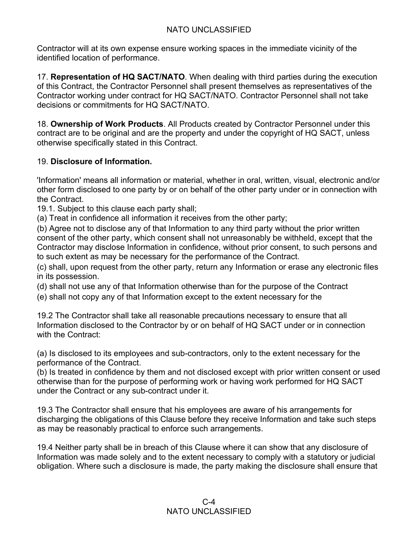Contractor will at its own expense ensure working spaces in the immediate vicinity of the identified location of performance.

17. **Representation of HQ SACT/NATO**. When dealing with third parties during the execution of this Contract, the Contractor Personnel shall present themselves as representatives of the Contractor working under contract for HQ SACT/NATO. Contractor Personnel shall not take decisions or commitments for HQ SACT/NATO.

18. **Ownership of Work Products**. All Products created by Contractor Personnel under this contract are to be original and are the property and under the copyright of HQ SACT, unless otherwise specifically stated in this Contract.

## 19. **Disclosure of Information.**

'Information' means all information or material, whether in oral, written, visual, electronic and/or other form disclosed to one party by or on behalf of the other party under or in connection with the Contract.

19.1. Subject to this clause each party shall;

(a) Treat in confidence all information it receives from the other party;

(b) Agree not to disclose any of that Information to any third party without the prior written consent of the other party, which consent shall not unreasonably be withheld, except that the Contractor may disclose Information in confidence, without prior consent, to such persons and to such extent as may be necessary for the performance of the Contract.

(c) shall, upon request from the other party, return any Information or erase any electronic files in its possession.

(d) shall not use any of that Information otherwise than for the purpose of the Contract

(e) shall not copy any of that Information except to the extent necessary for the

19.2 The Contractor shall take all reasonable precautions necessary to ensure that all Information disclosed to the Contractor by or on behalf of HQ SACT under or in connection with the Contract:

(a) Is disclosed to its employees and sub-contractors, only to the extent necessary for the performance of the Contract.

(b) Is treated in confidence by them and not disclosed except with prior written consent or used otherwise than for the purpose of performing work or having work performed for HQ SACT under the Contract or any sub-contract under it.

19.3 The Contractor shall ensure that his employees are aware of his arrangements for discharging the obligations of this Clause before they receive Information and take such steps as may be reasonably practical to enforce such arrangements.

19.4 Neither party shall be in breach of this Clause where it can show that any disclosure of Information was made solely and to the extent necessary to comply with a statutory or judicial obligation. Where such a disclosure is made, the party making the disclosure shall ensure that